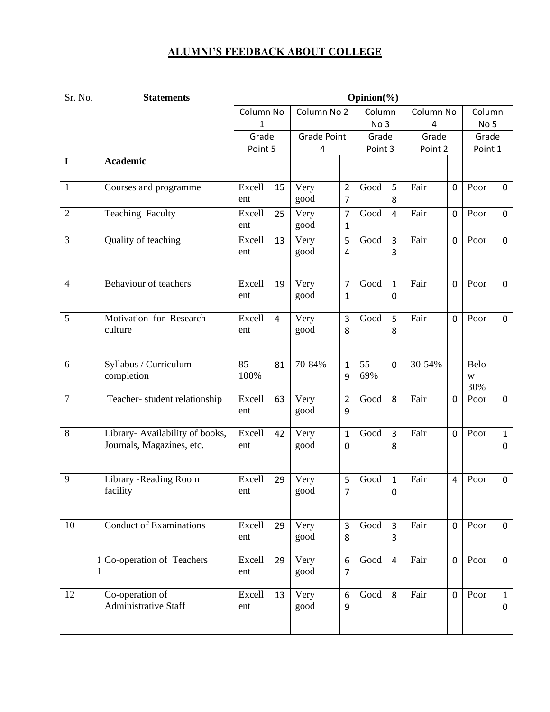#### **ALUMNI'S FEEDBACK ABOUT COLLEGE**

| Sr. No.        | <b>Statements</b>                                            |                  |                |                         |                     | Opinion(%)       |                     |                  |                |                           |                   |
|----------------|--------------------------------------------------------------|------------------|----------------|-------------------------|---------------------|------------------|---------------------|------------------|----------------|---------------------------|-------------------|
|                |                                                              | Column No<br>1   |                | Column No 2             |                     | Column<br>No 3   |                     | Column No<br>4   |                | Column<br>No <sub>5</sub> |                   |
|                |                                                              | Grade<br>Point 5 |                | <b>Grade Point</b><br>4 |                     | Grade<br>Point 3 |                     | Grade<br>Point 2 |                | Grade<br>Point 1          |                   |
| $\mathbf I$    | <b>Academic</b>                                              |                  |                |                         |                     |                  |                     |                  |                |                           |                   |
| $\mathbf{1}$   | Courses and programme                                        | Excell<br>ent    | 15             | Very<br>good            | $\overline{2}$<br>7 | Good             | 5<br>8              | Fair             | $\mathbf 0$    | Poor                      | $\mathbf 0$       |
| $\overline{2}$ | Teaching Faculty                                             | Excell<br>ent    | 25             | Very<br>good            | 7<br>$\mathbf{1}$   | Good             | $\overline{4}$      | Fair             | $\mathbf 0$    | Poor                      | $\mathbf 0$       |
| 3              | Quality of teaching                                          | Excell<br>ent    | 13             | Very<br>good            | 5<br>4              | Good             | 3<br>3              | Fair             | $\mathbf 0$    | Poor                      | 0                 |
| $\overline{4}$ | Behaviour of teachers                                        | Excell<br>ent    | 19             | Very<br>good            | 7<br>$\mathbf{1}$   | Good             | $\mathbf{1}$<br>0   | Fair             | $\mathbf 0$    | Poor                      | $\mathbf 0$       |
| 5              | Motivation for Research<br>culture                           | Excell<br>ent    | $\overline{4}$ | Very<br>good            | 3<br>8              | Good             | 5<br>8              | Fair             | $\mathbf 0$    | Poor                      | $\pmb{0}$         |
| 6              | Syllabus / Curriculum<br>completion                          | $85 -$<br>100%   | 81             | 70-84%                  | $\mathbf{1}$<br>9   | $55 -$<br>69%    | $\mathbf 0$         | 30-54%           |                | Belo<br>W<br>30%          |                   |
| $\overline{7}$ | Teacher-student relationship                                 | Excell<br>ent    | 63             | Very<br>good            | $\overline{2}$<br>9 | Good             | 8                   | Fair             | $\mathbf 0$    | Poor                      | $\mathbf 0$       |
| 8              | Library- Availability of books,<br>Journals, Magazines, etc. | Excell<br>ent    | 42             | Very<br>good            | $\mathbf{1}$<br>0   | Good             | $\overline{3}$<br>8 | Fair             | $\mathbf 0$    | Poor                      | $\mathbf{1}$<br>0 |
| 9              | Library - Reading Room<br>facility                           | Excell<br>ent    | 29             | Very<br>good            | 5<br>$\overline{7}$ | Good             | $\mathbf{1}$<br>0   | Fair             | $\overline{4}$ | Poor                      | $\pmb{0}$         |
| 10             | <b>Conduct of Examinations</b>                               | Excell<br>ent    | 29             | Very<br>good            | 3<br>8              | Good             | $\overline{3}$<br>3 | Fair             | $\mathbf 0$    | Poor                      | $\mathbf 0$       |
|                | Co-operation of Teachers                                     | Excell<br>ent    | 29             | Very<br>good            | 6<br>7              | Good             | $\overline{4}$      | Fair             | $\mathbf 0$    | Poor                      | $\mathbf 0$       |
| 12             | Co-operation of<br><b>Administrative Staff</b>               | Excell<br>ent    | 13             | Very<br>good            | 6<br>9              | Good             | 8                   | Fair             | $\mathbf 0$    | Poor                      | $\mathbf{1}$<br>0 |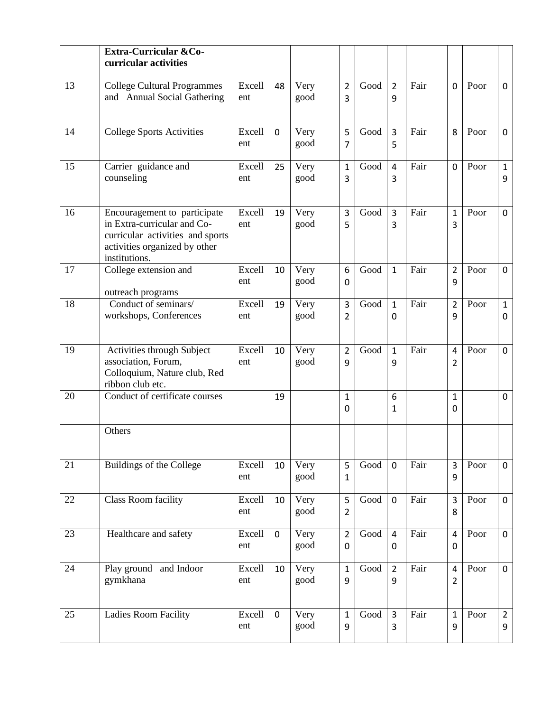|    | Extra-Curricular &Co-<br>curricular activities                                                                                                    |               |              |              |                         |      |                     |      |                                  |      |                     |
|----|---------------------------------------------------------------------------------------------------------------------------------------------------|---------------|--------------|--------------|-------------------------|------|---------------------|------|----------------------------------|------|---------------------|
| 13 | <b>College Cultural Programmes</b><br>and Annual Social Gathering                                                                                 | Excell<br>ent | 48           | Very<br>good | $\overline{2}$<br>3     | Good | $\overline{2}$<br>9 | Fair | $\mathbf 0$                      | Poor | $\Omega$            |
| 14 | <b>College Sports Activities</b>                                                                                                                  | Excell<br>ent | $\mathbf 0$  | Very<br>good | 5<br>7                  | Good | 3<br>5              | Fair | 8                                | Poor | $\mathbf 0$         |
| 15 | Carrier guidance and<br>counseling                                                                                                                | Excell<br>ent | 25           | Very<br>good | $\mathbf{1}$<br>3       | Good | $\overline{4}$<br>3 | Fair | $\mathbf 0$                      | Poor | $\mathbf{1}$<br>9   |
| 16 | Encouragement to participate<br>in Extra-curricular and Co-<br>curricular activities and sports<br>activities organized by other<br>institutions. | Excell<br>ent | 19           | Very<br>good | 3<br>5                  | Good | $\overline{3}$<br>3 | Fair | $\mathbf{1}$<br>3                | Poor | $\mathbf 0$         |
| 17 | College extension and<br>outreach programs                                                                                                        | Excell<br>ent | 10           | Very<br>good | 6<br>0                  | Good | $\mathbf{1}$        | Fair | $\overline{2}$<br>9              | Poor | 0                   |
| 18 | Conduct of seminars/<br>workshops, Conferences                                                                                                    | Excell<br>ent | 19           | Very<br>good | 3<br>2                  | Good | $\mathbf{1}$<br>0   | Fair | $\overline{2}$<br>9              | Poor | $\mathbf{1}$<br>0   |
| 19 | Activities through Subject<br>association, Forum,<br>Colloquium, Nature club, Red<br>ribbon club etc.                                             | Excell<br>ent | 10           | Very<br>good | $\overline{2}$<br>9     | Good | $\mathbf{1}$<br>9   | Fair | $\overline{4}$<br>2              | Poor | 0                   |
| 20 | Conduct of certificate courses                                                                                                                    |               | 19           |              | $\mathbf 1$<br>$\Omega$ |      | 6<br>1              |      | $\mathbf{1}$<br>$\Omega$         |      | 0                   |
|    | Others                                                                                                                                            |               |              |              |                         |      |                     |      |                                  |      |                     |
| 21 | <b>Buildings of the College</b>                                                                                                                   | Excell<br>ent | 10           | Very<br>good | 5<br>1                  | Good | $\mathbf 0$         | Fair | 3<br>9                           | Poor | $\mathbf 0$         |
| 22 | Class Room facility                                                                                                                               | Excell<br>ent | 10           | Very<br>good | 5<br>2                  | Good | $\mathbf 0$         | Fair | $\overline{3}$<br>8              | Poor | $\mathbf 0$         |
| 23 | Healthcare and safety                                                                                                                             | Excell<br>ent | $\mathbf{0}$ | Very<br>good | $\overline{2}$<br>0     | Good | $\overline{4}$<br>0 | Fair | $\overline{4}$<br>0              | Poor | $\mathbf 0$         |
| 24 | Play ground and Indoor<br>gymkhana                                                                                                                | Excell<br>ent | 10           | Very<br>good | $\mathbf{1}$<br>9       | Good | $\overline{2}$<br>9 | Fair | $\overline{4}$<br>$\overline{2}$ | Poor | $\mathbf 0$         |
| 25 | Ladies Room Facility                                                                                                                              | Excell<br>ent | $\mathbf 0$  | Very<br>good | $\mathbf{1}$<br>9       | Good | $\overline{3}$<br>3 | Fair | $\mathbf{1}$<br>9                | Poor | $\overline{2}$<br>9 |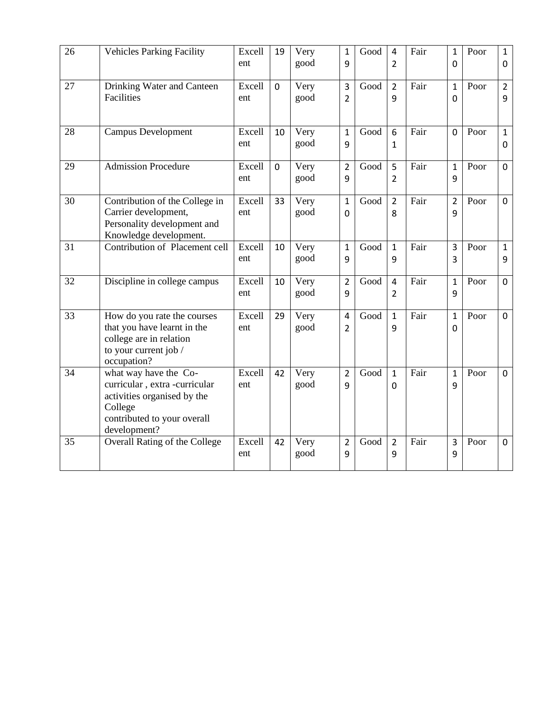| 26 | <b>Vehicles Parking Facility</b>                                                                                                                | Excell<br>ent | 19          | Very<br>good | $\mathbf{1}$<br>9   | Good | $\overline{4}$<br>$\overline{2}$ | Fair | $\mathbf{1}$<br>$\overline{0}$ | Poor | $\mathbf{1}$<br>$\mathbf 0$ |
|----|-------------------------------------------------------------------------------------------------------------------------------------------------|---------------|-------------|--------------|---------------------|------|----------------------------------|------|--------------------------------|------|-----------------------------|
| 27 | Drinking Water and Canteen<br>Facilities                                                                                                        | Excell<br>ent | $\mathbf 0$ | Very<br>good | 3<br>$\overline{2}$ | Good | $\overline{2}$<br>9              | Fair | $\mathbf{1}$<br>$\overline{0}$ | Poor | $\overline{2}$<br>9         |
| 28 | <b>Campus Development</b>                                                                                                                       | Excell<br>ent | 10          | Very<br>good | $\mathbf{1}$<br>9   | Good | 6<br>$\mathbf{1}$                | Fair | $\overline{0}$                 | Poor | $\mathbf{1}$<br>0           |
| 29 | <b>Admission Procedure</b>                                                                                                                      | Excell<br>ent | $\mathbf 0$ | Very<br>good | $\overline{2}$<br>9 | Good | 5<br>$\overline{2}$              | Fair | $\mathbf{1}$<br>9              | Poor | $\pmb{0}$                   |
| 30 | Contribution of the College in<br>Carrier development,<br>Personality development and<br>Knowledge development.                                 | Excell<br>ent | 33          | Very<br>good | $\mathbf{1}$<br>0   | Good | $\overline{2}$<br>8              | Fair | $\overline{2}$<br>9            | Poor | $\mathbf 0$                 |
| 31 | Contribution of Placement cell                                                                                                                  | Excell<br>ent | 10          | Very<br>good | $\mathbf 1$<br>9    | Good | $\mathbf{1}$<br>9                | Fair | 3<br>3                         | Poor | $\mathbf{1}$<br>9           |
| 32 | Discipline in college campus                                                                                                                    | Excell<br>ent | 10          | Very<br>good | $\overline{2}$<br>9 | Good | $\overline{4}$<br>$\overline{2}$ | Fair | $\mathbf{1}$<br>9              | Poor | $\mathbf 0$                 |
| 33 | How do you rate the courses<br>that you have learnt in the<br>college are in relation<br>to your current job /<br>occupation?                   | Excell<br>ent | 29          | Very<br>good | 4<br>2              | Good | $\mathbf{1}$<br>9                | Fair | $\mathbf{1}$<br>0              | Poor | $\mathbf 0$                 |
| 34 | what way have the Co-<br>curricular, extra -curricular<br>activities organised by the<br>College<br>contributed to your overall<br>development? | Excell<br>ent | 42          | Very<br>good | $\overline{2}$<br>9 | Good | $\mathbf{1}$<br>0                | Fair | $\mathbf{1}$<br>9              | Poor | $\mathbf 0$                 |
| 35 | Overall Rating of the College                                                                                                                   | Excell<br>ent | 42          | Very<br>good | $\overline{2}$<br>9 | Good | $\overline{2}$<br>9              | Fair | 3<br>9                         | Poor | $\mathbf 0$                 |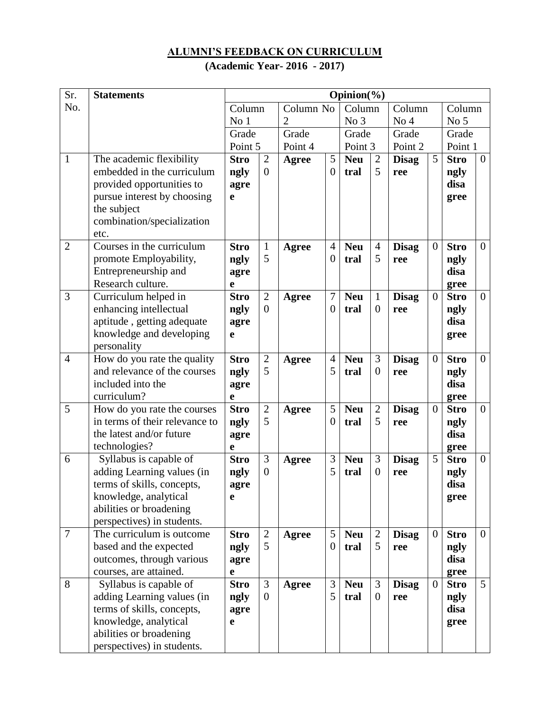# **ALUMNI'S FEEDBACK ON CURRICULUM**

# **(Academic Year- 2016 - 2017)**

| Sr.            | <b>Statements</b>                                |                 |                   |                |                            | $\overline{\text{O}}$ pinion(%) |                     |                 |                |                     |                  |
|----------------|--------------------------------------------------|-----------------|-------------------|----------------|----------------------------|---------------------------------|---------------------|-----------------|----------------|---------------------|------------------|
| No.            |                                                  | Column          |                   | Column No      |                            | Column                          |                     | Column          |                | Column              |                  |
|                |                                                  | No <sub>1</sub> |                   | $\overline{2}$ |                            | No 3                            |                     | No <sub>4</sub> |                | No <sub>5</sub>     |                  |
|                |                                                  | Grade           |                   | Grade          |                            | Grade                           |                     | Grade           |                | Grade               |                  |
|                |                                                  | Point 5         |                   | Point 4        |                            | Point 3                         |                     | Point 2         |                | Point 1             |                  |
| $\mathbf{1}$   | The academic flexibility                         | <b>Stro</b>     | $\overline{2}$    | <b>Agree</b>   | 5                          | <b>Neu</b>                      | $\overline{2}$      | <b>Disag</b>    | 5              | <b>Stro</b>         | $\boldsymbol{0}$ |
|                | embedded in the curriculum                       | ngly            | $\boldsymbol{0}$  |                | $\overline{0}$             | tral                            | 5                   | ree             |                | ngly                |                  |
|                | provided opportunities to                        | agre            |                   |                |                            |                                 |                     |                 |                | disa                |                  |
|                | pursue interest by choosing                      | e               |                   |                |                            |                                 |                     |                 |                | gree                |                  |
|                | the subject                                      |                 |                   |                |                            |                                 |                     |                 |                |                     |                  |
|                | combination/specialization                       |                 |                   |                |                            |                                 |                     |                 |                |                     |                  |
| $\overline{2}$ | etc.<br>Courses in the curriculum                |                 |                   |                |                            |                                 |                     |                 | $\overline{0}$ | <b>Stro</b>         |                  |
|                |                                                  | <b>Stro</b>     | $\mathbf{1}$<br>5 | <b>Agree</b>   | $\overline{4}$<br>$\theta$ | <b>Neu</b>                      | $\overline{4}$<br>5 | <b>Disag</b>    |                |                     | $\overline{0}$   |
|                | promote Employability,<br>Entrepreneurship and   | ngly            |                   |                |                            | tral                            |                     | ree             |                | ngly<br>disa        |                  |
|                | Research culture.                                | agre<br>e       |                   |                |                            |                                 |                     |                 |                |                     |                  |
| 3              | Curriculum helped in                             | <b>Stro</b>     | $\overline{2}$    | <b>Agree</b>   | $\overline{7}$             | <b>Neu</b>                      | $\mathbf{1}$        | <b>Disag</b>    | $\overline{0}$ | gree<br><b>Stro</b> | $\boldsymbol{0}$ |
|                | enhancing intellectual                           | ngly            | $\overline{0}$    |                | $\overline{0}$             | tral                            | $\boldsymbol{0}$    | ree             |                | ngly                |                  |
|                | aptitude, getting adequate                       | agre            |                   |                |                            |                                 |                     |                 |                | disa                |                  |
|                | knowledge and developing                         | e               |                   |                |                            |                                 |                     |                 |                | gree                |                  |
|                | personality                                      |                 |                   |                |                            |                                 |                     |                 |                |                     |                  |
| $\overline{4}$ | How do you rate the quality                      | <b>Stro</b>     | $\overline{2}$    | <b>Agree</b>   | $\overline{4}$             | <b>Neu</b>                      | 3                   | <b>Disag</b>    | $\overline{0}$ | <b>Stro</b>         | $\overline{0}$   |
|                | and relevance of the courses                     | ngly            | 5                 |                | 5                          | tral                            | $\overline{0}$      | ree             |                | ngly                |                  |
|                | included into the                                | agre            |                   |                |                            |                                 |                     |                 |                | disa                |                  |
|                | curriculum?                                      | e               |                   |                |                            |                                 |                     |                 |                | gree                |                  |
| 5              | How do you rate the courses                      | <b>Stro</b>     | $\sqrt{2}$        | Agree          | 5                          | <b>Neu</b>                      | $\overline{2}$      | <b>Disag</b>    | $\overline{0}$ | <b>Stro</b>         | $\mathbf{0}$     |
|                | in terms of their relevance to                   | ngly            | 5                 |                | $\overline{0}$             | tral                            | 5                   | ree             |                | ngly                |                  |
|                | the latest and/or future                         | agre            |                   |                |                            |                                 |                     |                 |                | disa                |                  |
|                | technologies?                                    | e               |                   |                |                            |                                 |                     |                 |                | gree                |                  |
| 6              | Syllabus is capable of                           | <b>Stro</b>     | 3                 | Agree          | 3                          | <b>Neu</b>                      | 3                   | <b>Disag</b>    | 5              | <b>Stro</b>         | $\boldsymbol{0}$ |
|                | adding Learning values (in                       | ngly            | $\overline{0}$    |                | 5                          | tral                            | $\boldsymbol{0}$    | ree             |                | ngly                |                  |
|                | terms of skills, concepts,                       | agre            |                   |                |                            |                                 |                     |                 |                | disa                |                  |
|                | knowledge, analytical                            | e               |                   |                |                            |                                 |                     |                 |                | gree                |                  |
|                | abilities or broadening                          |                 |                   |                |                            |                                 |                     |                 |                |                     |                  |
|                | perspectives) in students.                       |                 |                   |                |                            |                                 |                     |                 |                |                     |                  |
| $\overline{7}$ | The curriculum is outcome.                       | <b>Stro</b>     | $\overline{2}$    | <b>Agree</b>   | 5                          | <b>Neu</b>                      | $\overline{2}$      | <b>Disag</b>    | $\overline{0}$ | <b>Stro</b>         | $\overline{0}$   |
|                | based and the expected                           | ngly            | 5                 |                | $\overline{0}$             | tral                            | 5                   | ree             |                | ngly                |                  |
|                | outcomes, through various                        | agre            |                   |                |                            |                                 |                     |                 |                | disa                |                  |
|                | courses, are attained.                           | e               |                   |                |                            |                                 |                     |                 |                | gree                |                  |
| 8              | Syllabus is capable of                           | <b>Stro</b>     | 3                 | <b>Agree</b>   | 3                          | <b>Neu</b>                      | 3                   | <b>Disag</b>    | $\overline{0}$ | <b>Stro</b>         | 5                |
|                | adding Learning values (in                       | ngly            | $\overline{0}$    |                | 5                          | tral                            | $\boldsymbol{0}$    | ree             |                | ngly                |                  |
|                | terms of skills, concepts,                       | agre            |                   |                |                            |                                 |                     |                 |                | disa                |                  |
|                | knowledge, analytical<br>abilities or broadening | e               |                   |                |                            |                                 |                     |                 |                | gree                |                  |
|                | perspectives) in students.                       |                 |                   |                |                            |                                 |                     |                 |                |                     |                  |
|                |                                                  |                 |                   |                |                            |                                 |                     |                 |                |                     |                  |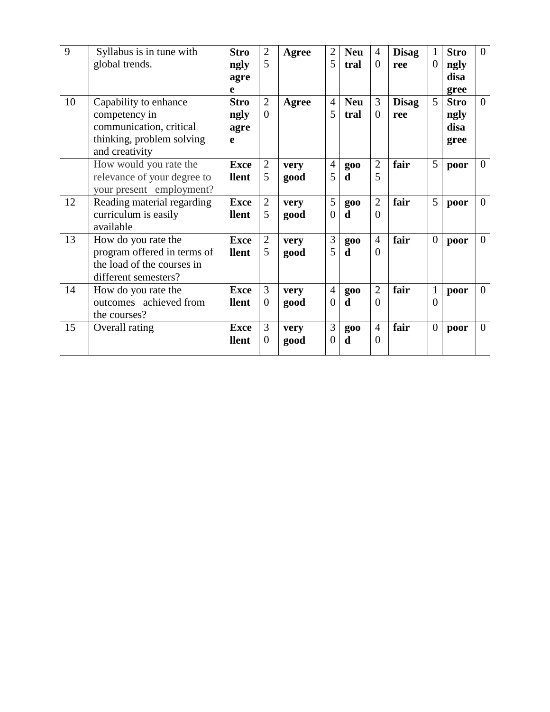| 9  | Syllabus is in tune with<br>global trends.                                                                       | <b>Stro</b><br>ngly              | $\overline{2}$<br>5        | Agree        | $\overline{2}$<br>5        | <b>Neu</b><br>tral | $\overline{4}$<br>$\theta$ | <b>Disag</b><br>ree | 1<br>$\overline{0}$      | <b>Stro</b>                         | $\overline{0}$ |
|----|------------------------------------------------------------------------------------------------------------------|----------------------------------|----------------------------|--------------|----------------------------|--------------------|----------------------------|---------------------|--------------------------|-------------------------------------|----------------|
|    |                                                                                                                  | agre<br>e                        |                            |              |                            |                    |                            |                     |                          | ngly<br>disa<br>gree                |                |
| 10 | Capability to enhance<br>competency in<br>communication, critical<br>thinking, problem solving<br>and creativity | <b>Stro</b><br>ngly<br>agre<br>e | $\overline{2}$<br>$\Omega$ | Agree        | $\overline{4}$<br>5        | <b>Neu</b><br>tral | 3<br>$\overline{0}$        | <b>Disag</b><br>ree | 5                        | <b>Stro</b><br>ngly<br>disa<br>gree | $\overline{0}$ |
|    | How would you rate the<br>relevance of your degree to<br>your present employment?                                | <b>Exce</b><br>llent             | $\mathfrak{2}$<br>5        | very<br>good | $\overline{4}$<br>5        | <b>goo</b><br>d    | $\overline{2}$<br>5        | fair                | 5                        | poor                                | $\overline{0}$ |
| 12 | Reading material regarding<br>curriculum is easily<br>available                                                  | <b>Exce</b><br>llent             | $\overline{2}$<br>5        | very<br>good | 5<br>$\theta$              | <b>goo</b><br>d    | $\overline{2}$<br>$\theta$ | fair                | 5                        | poor                                | $\overline{0}$ |
| 13 | How do you rate the<br>program offered in terms of<br>the load of the courses in<br>different semesters?         | <b>Exce</b><br><b>llent</b>      | $\overline{2}$<br>5        | very<br>good | 3<br>5                     | <b>goo</b><br>d    | $\overline{4}$<br>$\Omega$ | fair                | $\boldsymbol{0}$         | poor                                | $\overline{0}$ |
| 14 | How do you rate the<br>outcomes achieved from<br>the courses?                                                    | <b>Exce</b><br><b>llent</b>      | 3<br>$\Omega$              | very<br>good | $\overline{4}$<br>$\theta$ | <b>goo</b><br>d    | $\overline{2}$<br>$\theta$ | fair                | $\mathbf{1}$<br>$\theta$ | poor                                | $\overline{0}$ |
| 15 | Overall rating                                                                                                   | <b>Exce</b><br>llent             | 3<br>$\overline{0}$        | very<br>good | 3<br>0                     | <b>goo</b><br>d    | $\overline{4}$<br>$\Omega$ | fair                | $\overline{0}$           | poor                                | $\overline{0}$ |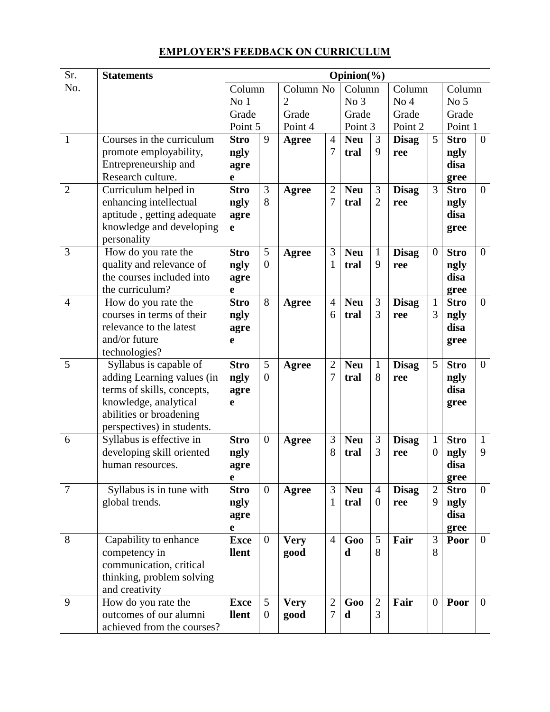# **EMPLOYER'S FEEDBACK ON CURRICULUM**

| Sr.            | <b>Statements</b>                             |                      |                  |                |                   | $\overline{\text{O}}$ pinion(%) |                     |                 |                |                 |                |
|----------------|-----------------------------------------------|----------------------|------------------|----------------|-------------------|---------------------------------|---------------------|-----------------|----------------|-----------------|----------------|
| No.            |                                               | Column               |                  | Column No      |                   | Column                          |                     | Column          |                | Column          |                |
|                |                                               | No <sub>1</sub>      |                  | $\overline{2}$ |                   | No 3                            |                     | No <sub>4</sub> |                | No <sub>5</sub> |                |
|                |                                               | Grade                |                  | Grade          |                   | Grade                           |                     | Grade           |                | Grade           |                |
|                |                                               | Point 5              |                  | Point 4        |                   | Point 3                         |                     | Point 2         |                | Point 1         |                |
| $\mathbf{1}$   | Courses in the curriculum                     | <b>Stro</b>          | 9                | <b>Agree</b>   | $\overline{4}$    | <b>Neu</b>                      | 3                   | <b>Disag</b>    | 5              | <b>Stro</b>     | $\overline{0}$ |
|                | promote employability,                        | ngly                 |                  |                | 7                 | tral                            | 9                   | ree             |                | ngly            |                |
|                | Entrepreneurship and                          | agre                 |                  |                |                   |                                 |                     |                 |                | disa            |                |
|                | Research culture.                             | e                    |                  |                |                   |                                 |                     |                 |                | gree            |                |
| $\overline{2}$ | Curriculum helped in                          | <b>Stro</b>          | 3                | Agree          | $\overline{2}$    | <b>Neu</b>                      | 3                   | <b>Disag</b>    | 3              | <b>Stro</b>     | $\overline{0}$ |
|                | enhancing intellectual                        | ngly                 | 8                |                | 7                 | tral                            | $\overline{2}$      | ree             |                | ngly            |                |
|                | aptitude, getting adequate                    | agre                 |                  |                |                   |                                 |                     |                 |                | disa            |                |
|                | knowledge and developing                      | $\mathbf e$          |                  |                |                   |                                 |                     |                 |                | gree            |                |
| 3              | personality<br>How do you rate the            | <b>Stro</b>          | 5                |                | 3                 | <b>Neu</b>                      | $\mathbf{1}$        | <b>Disag</b>    | $\overline{0}$ | <b>Stro</b>     | $\overline{0}$ |
|                | quality and relevance of                      | ngly                 | $\overline{0}$   | <b>Agree</b>   | 1                 | tral                            | 9                   |                 |                |                 |                |
|                | the courses included into                     | agre                 |                  |                |                   |                                 |                     | ree             |                | ngly<br>disa    |                |
|                | the curriculum?                               | e                    |                  |                |                   |                                 |                     |                 |                | gree            |                |
| $\overline{4}$ | How do you rate the                           | <b>Stro</b>          | 8                | Agree          | $\overline{4}$    | <b>Neu</b>                      | 3                   | <b>Disag</b>    | $\mathbf{1}$   | <b>Stro</b>     | $\overline{0}$ |
|                | courses in terms of their                     | ngly                 |                  |                | 6                 | tral                            | 3                   | ree             | 3              | ngly            |                |
|                | relevance to the latest                       | agre                 |                  |                |                   |                                 |                     |                 |                | disa            |                |
|                | and/or future                                 | e                    |                  |                |                   |                                 |                     |                 |                | gree            |                |
|                | technologies?                                 |                      |                  |                |                   |                                 |                     |                 |                |                 |                |
| 5              | Syllabus is capable of                        | <b>Stro</b>          | 5                | <b>Agree</b>   | $\overline{2}$    | <b>Neu</b>                      | $\mathbf{1}$        | <b>Disag</b>    | 5              | <b>Stro</b>     | $\overline{0}$ |
|                | adding Learning values (in                    | ngly                 | $\overline{0}$   |                | 7                 | tral                            | 8                   | ree             |                | ngly            |                |
|                | terms of skills, concepts,                    | agre                 |                  |                |                   |                                 |                     |                 |                | disa            |                |
|                | knowledge, analytical                         | e                    |                  |                |                   |                                 |                     |                 |                | gree            |                |
|                | abilities or broadening                       |                      |                  |                |                   |                                 |                     |                 |                |                 |                |
|                | perspectives) in students.                    |                      |                  |                |                   |                                 |                     |                 |                |                 |                |
| 6              | Syllabus is effective in                      | <b>Stro</b>          | $\overline{0}$   | Agree          | 3                 | <b>Neu</b>                      | 3                   | <b>Disag</b>    | 1              | <b>Stro</b>     | $\mathbf{1}$   |
|                | developing skill oriented                     | ngly                 |                  |                | 8                 | tral                            | 3                   | ree             | $\overline{0}$ | ngly            | 9              |
|                | human resources.                              | agre                 |                  |                |                   |                                 |                     |                 |                | disa            |                |
|                |                                               | e                    |                  |                |                   |                                 |                     |                 |                | gree            |                |
| $\overline{7}$ | Syllabus is in tune with                      | <b>Stro</b>          | $\overline{0}$   | Agree          | 3                 | <b>Neu</b>                      | $\overline{4}$      | <b>Disag</b>    | $\overline{2}$ | <b>Stro</b>     | $\overline{0}$ |
|                | global trends.                                | ngly                 |                  |                | 1                 | tral                            | $\overline{0}$      | ree             | 9              | ngly            |                |
|                |                                               | agre                 |                  |                |                   |                                 |                     |                 |                | disa            |                |
|                |                                               | e                    |                  |                |                   |                                 |                     |                 |                | gree            |                |
| 8              | Capability to enhance                         | <b>Exce</b>          | $\overline{0}$   | <b>Very</b>    | $\overline{4}$    | Goo                             | 5                   | Fair            | 3              | Poor            | $\overline{0}$ |
|                | competency in                                 | llent                |                  | good           |                   | d                               | 8                   |                 | 8              |                 |                |
|                | communication, critical                       |                      |                  |                |                   |                                 |                     |                 |                |                 |                |
|                | thinking, problem solving                     |                      |                  |                |                   |                                 |                     |                 |                |                 |                |
| 9              | and creativity                                |                      | 5                |                |                   |                                 |                     |                 | $\overline{0}$ |                 | $\overline{0}$ |
|                | How do you rate the<br>outcomes of our alumni | <b>Exce</b><br>llent | $\boldsymbol{0}$ | <b>Very</b>    | $\mathbf{2}$<br>7 | Goo<br>d                        | $\overline{2}$<br>3 | Fair            |                | Poor            |                |
|                | achieved from the courses?                    |                      |                  | good           |                   |                                 |                     |                 |                |                 |                |
|                |                                               |                      |                  |                |                   |                                 |                     |                 |                |                 |                |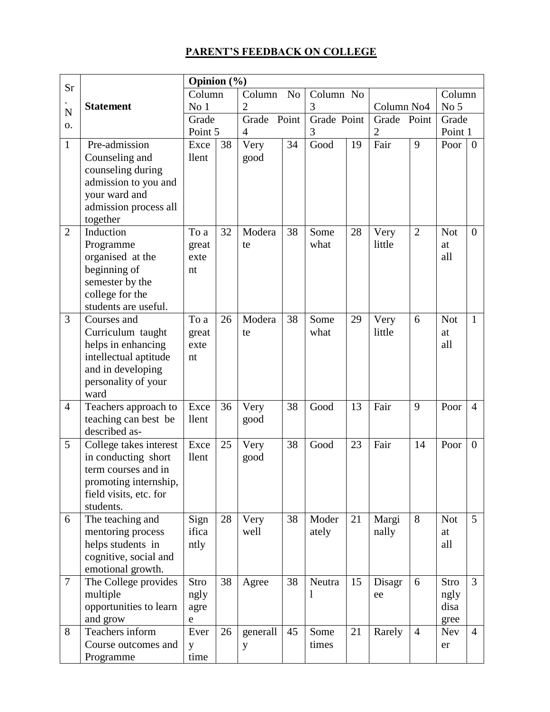# **PARENT'S FEEDBACK ON COLLEGE**

| Sr             |                                                                                                                                      | Opinion (%)                 |    |                |                |                        |    |                |                |                              |                  |
|----------------|--------------------------------------------------------------------------------------------------------------------------------------|-----------------------------|----|----------------|----------------|------------------------|----|----------------|----------------|------------------------------|------------------|
|                |                                                                                                                                      | Column                      |    | Column         | N <sub>o</sub> | Column No              |    |                |                | Column                       |                  |
| N              | <b>Statement</b>                                                                                                                     | No 1                        |    | $\overline{2}$ |                | 3                      |    | Column No4     |                | No <sub>5</sub>              |                  |
| 0.             |                                                                                                                                      | Grade                       |    | Grade Point    |                | Grade Point            |    | Grade Point    |                | Grade                        |                  |
|                |                                                                                                                                      | Point 5                     |    | $\overline{4}$ |                | 3                      |    | $\overline{2}$ |                | Point 1                      |                  |
| $\mathbf{1}$   | Pre-admission<br>Counseling and<br>counseling during<br>admission to you and<br>your ward and<br>admission process all<br>together   | Exce<br>llent               | 38 | Very<br>good   | 34             | Good                   | 19 | Fair           | 9              | Poor                         | $\boldsymbol{0}$ |
| $\overline{2}$ | Induction<br>Programme<br>organised at the<br>beginning of<br>semester by the<br>college for the<br>students are useful.             | To a<br>great<br>exte<br>nt | 32 | Modera<br>te   | 38             | Some<br>what           | 28 | Very<br>little | $\overline{2}$ | <b>Not</b><br>at<br>all      | $\overline{0}$   |
| 3              | Courses and<br>Curriculum taught<br>helps in enhancing<br>intellectual aptitude<br>and in developing<br>personality of your<br>ward  | To a<br>great<br>exte<br>nt | 26 | Modera<br>te   | 38             | Some<br>what           | 29 | Very<br>little | 6              | <b>Not</b><br>at<br>all      | $\mathbf{1}$     |
| $\overline{4}$ | Teachers approach to<br>teaching can best be<br>described as-                                                                        | Exce<br>llent               | 36 | Very<br>good   | 38             | Good                   | 13 | Fair           | 9              | Poor                         | $\overline{4}$   |
| 5              | College takes interest<br>in conducting short<br>term courses and in<br>promoting internship,<br>field visits, etc. for<br>students. | Exce<br>llent               | 25 | Very<br>good   | 38             | Good                   | 23 | Fair           | 14             | Poor                         | $\overline{0}$   |
| 6              | The teaching and<br>mentoring process<br>helps students in<br>cognitive, social and<br>emotional growth.                             | Sign<br>ifica<br>ntly       | 28 | Very<br>well   | 38             | Moder<br>ately         | 21 | Margi<br>nally | 8              | <b>Not</b><br>at<br>all      | 5 <sup>5</sup>   |
| $\tau$         | The College provides<br>multiple<br>opportunities to learn<br>and grow                                                               | Stro<br>ngly<br>agre<br>e   | 38 | Agree          | 38             | Neutra<br>$\mathbf{l}$ | 15 | Disagr<br>ee   | 6              | Stro<br>ngly<br>disa<br>gree | 3                |
| 8              | Teachers inform<br>Course outcomes and<br>Programme                                                                                  | Ever<br>y<br>time           | 26 | generall<br>y  | 45             | Some<br>times          | 21 | Rarely         | $\overline{4}$ | <b>Nev</b><br>er             | $\overline{4}$   |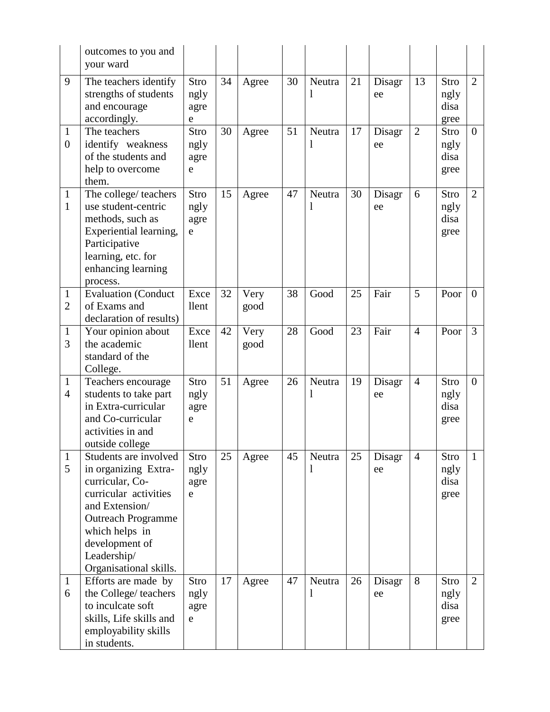|                                  | outcomes to you and<br>your ward                                                                                                                                                                                      |                           |    |              |    |             |    |              |                |                              |                |
|----------------------------------|-----------------------------------------------------------------------------------------------------------------------------------------------------------------------------------------------------------------------|---------------------------|----|--------------|----|-------------|----|--------------|----------------|------------------------------|----------------|
| 9                                | The teachers identify<br>strengths of students<br>and encourage<br>accordingly.                                                                                                                                       | Stro<br>ngly<br>agre<br>e | 34 | Agree        | 30 | Neutra<br>1 | 21 | Disagr<br>ee | 13             | Stro<br>ngly<br>disa<br>gree | $\overline{2}$ |
| $\mathbf{1}$<br>$\boldsymbol{0}$ | The teachers<br>identify weakness<br>of the students and<br>help to overcome<br>them.                                                                                                                                 | Stro<br>ngly<br>agre<br>e | 30 | Agree        | 51 | Neutra<br>1 | 17 | Disagr<br>ee | $\overline{2}$ | Stro<br>ngly<br>disa<br>gree | $\overline{0}$ |
| $\mathbf{1}$<br>$\mathbf{1}$     | The college/ teachers<br>use student-centric<br>methods, such as<br>Experiential learning,<br>Participative<br>learning, etc. for<br>enhancing learning<br>process.                                                   | Stro<br>ngly<br>agre<br>e | 15 | Agree        | 47 | Neutra<br>1 | 30 | Disagr<br>ee | 6              | Stro<br>ngly<br>disa<br>gree | $\overline{2}$ |
| $\mathbf{1}$<br>$\overline{2}$   | <b>Evaluation</b> (Conduct<br>of Exams and<br>declaration of results)                                                                                                                                                 | Exce<br>llent             | 32 | Very<br>good | 38 | Good        | 25 | Fair         | 5              | Poor                         | $\overline{0}$ |
| $\mathbf{1}$<br>3                | Your opinion about<br>the academic<br>standard of the<br>College.                                                                                                                                                     | Exce<br>llent             | 42 | Very<br>good | 28 | Good        | 23 | Fair         | $\overline{4}$ | Poor                         | 3              |
| $\mathbf{1}$<br>$\overline{4}$   | Teachers encourage<br>students to take part<br>in Extra-curricular<br>and Co-curricular<br>activities in and<br>outside college                                                                                       | Stro<br>ngly<br>agre<br>e | 51 | Agree        | 26 | Neutra<br>1 | 19 | Disagr<br>ee | $\overline{4}$ | Stro<br>ngly<br>disa<br>gree | $\overline{0}$ |
| $\mathbf{1}$<br>5                | Students are involved<br>in organizing Extra-<br>curricular, Co-<br>curricular activities<br>and Extension/<br><b>Outreach Programme</b><br>which helps in<br>development of<br>Leadership/<br>Organisational skills. | Stro<br>ngly<br>agre<br>e | 25 | Agree        | 45 | Neutra<br>1 | 25 | Disagr<br>ee | $\overline{4}$ | Stro<br>ngly<br>disa<br>gree | 1              |
| $\mathbf{1}$<br>6                | Efforts are made by<br>the College/teachers<br>to inculcate soft<br>skills, Life skills and<br>employability skills<br>in students.                                                                                   | Stro<br>ngly<br>agre<br>e | 17 | Agree        | 47 | Neutra<br>1 | 26 | Disagr<br>ee | 8              | Stro<br>ngly<br>disa<br>gree | $\overline{2}$ |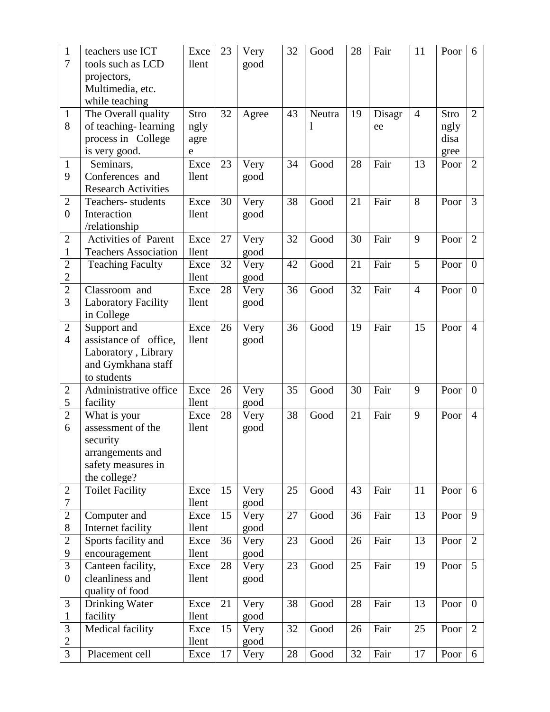| $\mathbf{1}$<br>7                  | teachers use ICT<br>tools such as LCD<br>projectors,<br>Multimedia, etc.<br>while teaching              | Exce<br>llent             | 23 | Very<br>good | 32 | Good        | 28 | Fair         | 11             | Poor                         | 6                |
|------------------------------------|---------------------------------------------------------------------------------------------------------|---------------------------|----|--------------|----|-------------|----|--------------|----------------|------------------------------|------------------|
| $\mathbf{1}$<br>8                  | The Overall quality<br>of teaching-learning<br>process in College<br>is very good.                      | Stro<br>ngly<br>agre<br>e | 32 | Agree        | 43 | Neutra<br>1 | 19 | Disagr<br>ee | $\overline{4}$ | Stro<br>ngly<br>disa<br>gree | $\overline{2}$   |
| $\mathbf{1}$<br>9                  | Seminars,<br>Conferences and<br><b>Research Activities</b>                                              | Exce<br>llent             | 23 | Very<br>good | 34 | Good        | 28 | Fair         | 13             | Poor                         | $\overline{2}$   |
| $\overline{2}$<br>$\boldsymbol{0}$ | Teachers-students<br>Interaction<br>/relationship                                                       | Exce<br>llent             | 30 | Very<br>good | 38 | Good        | 21 | Fair         | 8              | Poor                         | 3                |
| $\overline{2}$<br>1                | Activities of Parent<br><b>Teachers Association</b>                                                     | Exce<br>llent             | 27 | Very<br>good | 32 | Good        | 30 | Fair         | 9              | Poor                         | $\overline{2}$   |
| $\overline{2}$<br>$\overline{2}$   | <b>Teaching Faculty</b>                                                                                 | Exce<br>llent             | 32 | Very<br>good | 42 | Good        | 21 | Fair         | 5              | Poor                         | $\theta$         |
| $\overline{2}$<br>3                | Classroom and<br><b>Laboratory Facility</b><br>in College                                               | Exce<br>llent             | 28 | Very<br>good | 36 | Good        | 32 | Fair         | $\overline{4}$ | Poor                         | $\overline{0}$   |
| $\overline{2}$<br>$\overline{4}$   | Support and<br>assistance of office,<br>Laboratory, Library<br>and Gymkhana staff<br>to students        | Exce<br>llent             | 26 | Very<br>good | 36 | Good        | 19 | Fair         | 15             | Poor                         | $\overline{4}$   |
| $\overline{2}$<br>5                | Administrative office<br>facility                                                                       | Exce<br>llent             | 26 | Very<br>good | 35 | Good        | 30 | Fair         | 9              | Poor                         | $\boldsymbol{0}$ |
| $\overline{2}$<br>6                | What is your<br>assessment of the<br>security<br>arrangements and<br>safety measures in<br>the college? | Exce<br>llent             | 28 | Very<br>good | 38 | Good        | 21 | Fair         | 9              | Poor                         | $\overline{4}$   |
| 2<br>7                             | <b>Toilet Facility</b>                                                                                  | Exce<br>llent             | 15 | Very<br>good | 25 | Good        | 43 | Fair         | 11             | Poor                         | 6                |
| $\overline{2}$<br>8                | Computer and<br>Internet facility                                                                       | Exce<br>llent             | 15 | Very<br>good | 27 | Good        | 36 | Fair         | 13             | Poor                         | 9                |
| $\overline{2}$<br>9                | Sports facility and<br>encouragement                                                                    | Exce<br>llent             | 36 | Very<br>good | 23 | Good        | 26 | Fair         | 13             | Poor                         | $\overline{2}$   |
| 3<br>$\boldsymbol{0}$              | Canteen facility,<br>cleanliness and<br>quality of food                                                 | Exce<br>llent             | 28 | Very<br>good | 23 | Good        | 25 | Fair         | 19             | Poor                         | 5                |
| 3<br>$\mathbf{1}$                  | Drinking Water<br>facility                                                                              | Exce<br>llent             | 21 | Very<br>good | 38 | Good        | 28 | Fair         | 13             | Poor                         | $\mathbf{0}$     |
| 3<br>$\overline{2}$                | Medical facility                                                                                        | Exce<br>llent             | 15 | Very<br>good | 32 | Good        | 26 | Fair         | 25             | Poor                         | $\overline{2}$   |
| 3                                  | Placement cell                                                                                          | Exce                      | 17 | Very         | 28 | Good        | 32 | Fair         | 17             | Poor                         | 6                |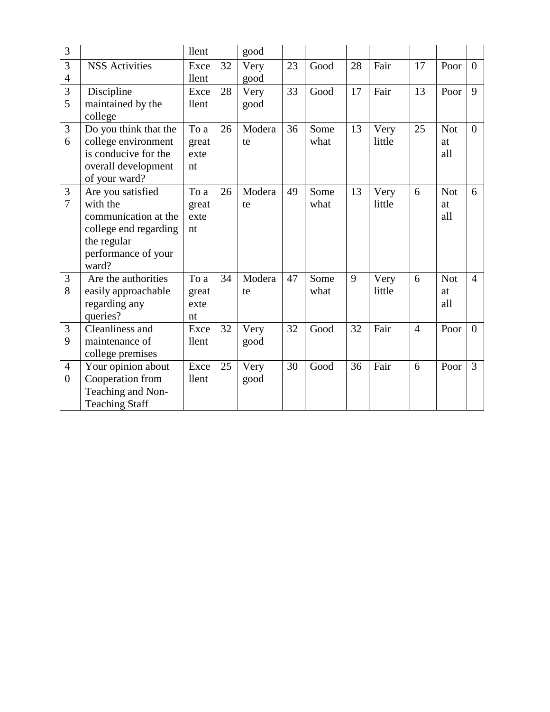| 3                |                       | llent |    | good   |    |      |    |        |                |            |                |
|------------------|-----------------------|-------|----|--------|----|------|----|--------|----------------|------------|----------------|
| 3                | <b>NSS Activities</b> | Exce  | 32 | Very   | 23 | Good | 28 | Fair   | 17             | Poor       | $\overline{0}$ |
| $\overline{4}$   |                       | llent |    | good   |    |      |    |        |                |            |                |
| 3                | Discipline            | Exce  | 28 | Very   | 33 | Good | 17 | Fair   | 13             | Poor       | 9              |
| 5                | maintained by the     | llent |    | good   |    |      |    |        |                |            |                |
|                  | college               |       |    |        |    |      |    |        |                |            |                |
| 3                | Do you think that the | To a  | 26 | Modera | 36 | Some | 13 | Very   | 25             | <b>Not</b> | $\theta$       |
| 6                | college environment   | great |    | te     |    | what |    | little |                | at         |                |
|                  | is conducive for the  | exte  |    |        |    |      |    |        |                | all        |                |
|                  | overall development   | nt    |    |        |    |      |    |        |                |            |                |
|                  | of your ward?         |       |    |        |    |      |    |        |                |            |                |
| 3                | Are you satisfied     | To a  | 26 | Modera | 49 | Some | 13 | Very   | 6              | <b>Not</b> | 6              |
| $\overline{7}$   | with the              | great |    | te     |    | what |    | little |                | at         |                |
|                  | communication at the  | exte  |    |        |    |      |    |        |                | all        |                |
|                  | college end regarding | nt    |    |        |    |      |    |        |                |            |                |
|                  | the regular           |       |    |        |    |      |    |        |                |            |                |
|                  | performance of your   |       |    |        |    |      |    |        |                |            |                |
|                  | ward?                 |       |    |        |    |      |    |        |                |            |                |
| 3                | Are the authorities   | To a  | 34 | Modera | 47 | Some | 9  | Very   | 6              | <b>Not</b> | $\overline{4}$ |
| 8                | easily approachable   | great |    | te     |    | what |    | little |                | at         |                |
|                  | regarding any         | exte  |    |        |    |      |    |        |                | all        |                |
|                  | queries?              | nt    |    |        |    |      |    |        |                |            |                |
| 3                | Cleanliness and       | Exce  | 32 | Very   | 32 | Good | 32 | Fair   | $\overline{4}$ | Poor       | $\theta$       |
| 9                | maintenance of        | llent |    | good   |    |      |    |        |                |            |                |
|                  | college premises      |       |    |        |    |      |    |        |                |            |                |
| $\overline{4}$   | Your opinion about    | Exce  | 25 | Very   | 30 | Good | 36 | Fair   | 6              | Poor       | 3              |
| $\boldsymbol{0}$ | Cooperation from      | llent |    | good   |    |      |    |        |                |            |                |
|                  | Teaching and Non-     |       |    |        |    |      |    |        |                |            |                |
|                  | <b>Teaching Staff</b> |       |    |        |    |      |    |        |                |            |                |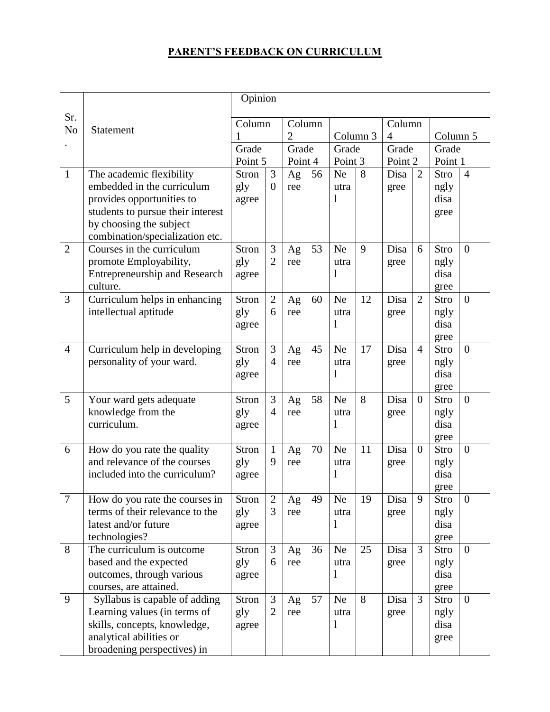# **PARENT'S FEEDBACK ON CURRICULUM**

|                |                                                                | Opinion      |                     |                |    |                     |    |                |                |              |                |
|----------------|----------------------------------------------------------------|--------------|---------------------|----------------|----|---------------------|----|----------------|----------------|--------------|----------------|
| Sr.            |                                                                | Column       |                     | Column         |    |                     |    | Column         |                |              |                |
| N <sub>o</sub> | Statement                                                      |              |                     | $\overline{2}$ |    | Column <sub>3</sub> |    | $\overline{4}$ |                | Column 5     |                |
|                |                                                                | Grade        |                     | Grade          |    | Grade               |    | Grade          |                | Grade        |                |
|                |                                                                | Point 5      |                     | Point 4        |    | Point 3             |    | Point 2        |                | Point 1      |                |
| $\mathbf{1}$   | The academic flexibility                                       | <b>Stron</b> | 3                   | Ag             | 56 | <b>Ne</b>           | 8  | Disa           | $\overline{2}$ | Stro         | $\overline{4}$ |
|                | embedded in the curriculum                                     | gly          | $\overline{0}$      | ree            |    | utra                |    | gree           |                | ngly         |                |
|                | provides opportunities to<br>students to pursue their interest | agree        |                     |                |    | 1                   |    |                |                | disa<br>gree |                |
|                | by choosing the subject                                        |              |                     |                |    |                     |    |                |                |              |                |
|                | combination/specialization etc.                                |              |                     |                |    |                     |    |                |                |              |                |
| $\overline{2}$ | Courses in the curriculum                                      | <b>Stron</b> | 3                   | Ag             | 53 | <b>Ne</b>           | 9  | Disa           | 6              | Stro         | $\theta$       |
|                | promote Employability,                                         | gly          | $\overline{2}$      | ree            |    | utra                |    | gree           |                | ngly         |                |
|                | <b>Entrepreneurship and Research</b>                           | agree        |                     |                |    | 1                   |    |                |                | disa         |                |
|                | culture.                                                       |              |                     |                |    |                     |    |                |                | gree         |                |
| $\overline{3}$ | Curriculum helps in enhancing                                  | <b>Stron</b> | $\overline{2}$<br>6 | Ag             | 60 | <b>Ne</b>           | 12 | Disa           | $\overline{2}$ | Stro         | $\theta$       |
|                | intellectual aptitude                                          | gly<br>agree |                     | ree            |    | utra<br>1           |    | gree           |                | ngly<br>disa |                |
|                |                                                                |              |                     |                |    |                     |    |                |                | gree         |                |
| $\overline{4}$ | Curriculum help in developing                                  | <b>Stron</b> | 3                   | Ag             | 45 | <b>Ne</b>           | 17 | Disa           | $\overline{4}$ | Stro         | $\overline{0}$ |
|                | personality of your ward.                                      | gly          | $\overline{4}$      | ree            |    | utra                |    | gree           |                | ngly         |                |
|                |                                                                | agree        |                     |                |    | 1                   |    |                |                | disa         |                |
|                |                                                                |              |                     |                |    |                     |    |                |                | gree         |                |
| 5              | Your ward gets adequate                                        | Stron        | 3                   | Ag             | 58 | <b>Ne</b>           | 8  | Disa           | $\theta$       | Stro         | $\theta$       |
|                | knowledge from the<br>curriculum.                              | gly          | $\overline{4}$      | ree            |    | utra                |    | gree           |                | ngly         |                |
|                |                                                                | agree        |                     |                |    | 1                   |    |                |                | disa<br>gree |                |
| 6              | How do you rate the quality                                    | <b>Stron</b> | $\mathbf{1}$        | Ag             | 70 | <b>Ne</b>           | 11 | Disa           | $\overline{0}$ | Stro         | $\theta$       |
|                | and relevance of the courses                                   | gly          | 9                   | ree            |    | utra                |    | gree           |                | ngly         |                |
|                | included into the curriculum?                                  | agree        |                     |                |    | 1                   |    |                |                | disa         |                |
|                |                                                                |              |                     |                |    |                     |    |                |                | gree         |                |
| $\overline{7}$ | How do you rate the courses in                                 | Stron        | $\overline{2}$      | Ag             | 49 | Ne                  | 19 | Disa           | 9              | <b>Stro</b>  | $\overline{0}$ |
|                | terms of their relevance to the                                | gly          | 3                   | ree            |    | utra                |    | gree           |                | ngly         |                |
|                | latest and/or future                                           | agree        |                     |                |    | 1                   |    |                |                | disa         |                |
| 8              | technologies?<br>The curriculum is outcome                     | <b>Stron</b> | 3                   | Ag             | 36 | <b>Ne</b>           | 25 | Disa           | 3              | gree<br>Stro | $\overline{0}$ |
|                | based and the expected                                         | gly          | 6                   | ree            |    | utra                |    | gree           |                | ngly         |                |
|                | outcomes, through various                                      | agree        |                     |                |    | 1                   |    |                |                | disa         |                |
|                | courses, are attained.                                         |              |                     |                |    |                     |    |                |                | gree         |                |
| 9              | Syllabus is capable of adding                                  | Stron        | 3                   | Ag             | 57 | <b>Ne</b>           | 8  | Disa           | $\overline{3}$ | Stro         | $\theta$       |
|                | Learning values (in terms of                                   | gly          | $\overline{2}$      | ree            |    | utra                |    | gree           |                | ngly         |                |
|                | skills, concepts, knowledge,                                   | agree        |                     |                |    | 1                   |    |                |                | disa         |                |
|                | analytical abilities or                                        |              |                     |                |    |                     |    |                |                | gree         |                |
|                | broadening perspectives) in                                    |              |                     |                |    |                     |    |                |                |              |                |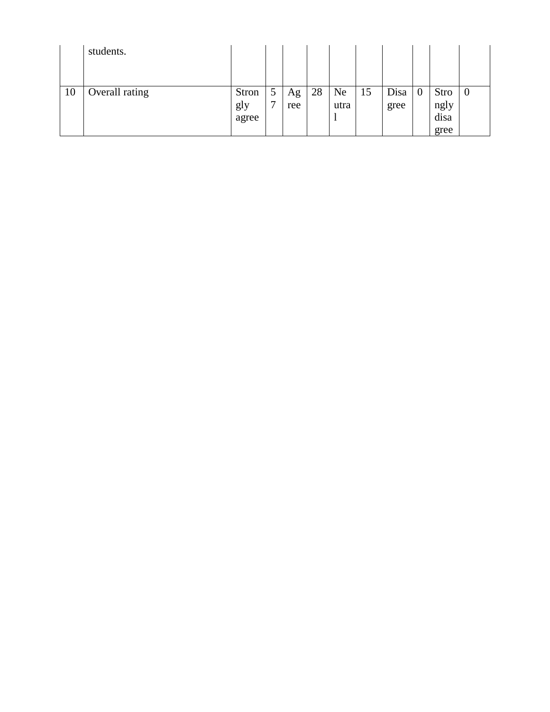|    | students.      |                       |                               |           |    |            |    |              |                  |                                     |                |
|----|----------------|-----------------------|-------------------------------|-----------|----|------------|----|--------------|------------------|-------------------------------------|----------------|
| 10 | Overall rating | Stron<br>gly<br>agree | $\mathcal{D}$<br>$\mathbf{r}$ | Ag<br>ree | 28 | Ne<br>utra | 15 | Disa<br>gree | $\boldsymbol{0}$ | <b>Stro</b><br>ngly<br>disa<br>gree | $\overline{0}$ |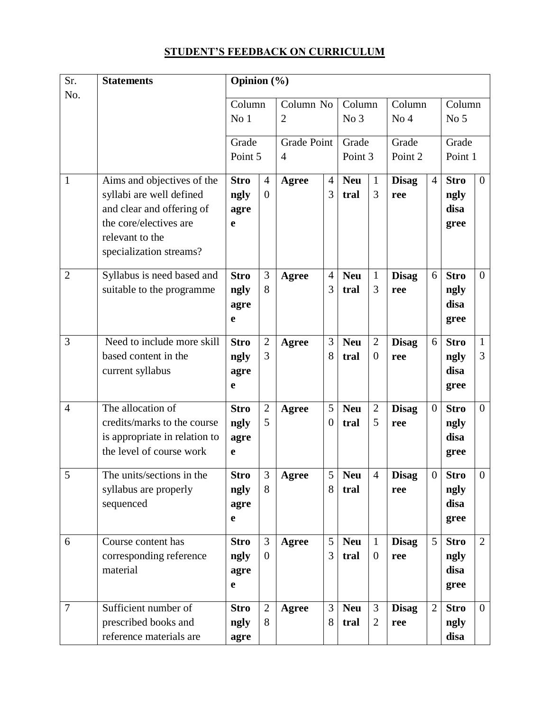# **STUDENT'S FEEDBACK ON CURRICULUM**

| Sr.            | <b>Statements</b>                                                                                                                                           | Opinion (%)                                |                                  |                                      |                      |                           |                                |                           |                |                                     |                   |  |
|----------------|-------------------------------------------------------------------------------------------------------------------------------------------------------------|--------------------------------------------|----------------------------------|--------------------------------------|----------------------|---------------------------|--------------------------------|---------------------------|----------------|-------------------------------------|-------------------|--|
| No.            |                                                                                                                                                             | Column<br>No <sub>1</sub>                  |                                  | Column No<br>$\overline{2}$          |                      | Column<br>No <sub>3</sub> |                                | Column<br>No <sub>4</sub> |                | Column<br>No <sub>5</sub>           |                   |  |
|                |                                                                                                                                                             | Grade<br>Point 5                           |                                  | <b>Grade Point</b><br>$\overline{4}$ |                      | Grade<br>Point 3          |                                | Grade<br>Point 2          |                | Grade<br>Point 1                    |                   |  |
| $\mathbf{1}$   | Aims and objectives of the<br>syllabi are well defined<br>and clear and offering of<br>the core/electives are<br>relevant to the<br>specialization streams? | <b>Stro</b><br>ngly<br>agre<br>e           | $\overline{4}$<br>$\overline{0}$ | Agree                                | $\overline{4}$<br>3  | <b>Neu</b><br>tral        | 1<br>3                         | <b>Disag</b><br>ree       | $\overline{4}$ | <b>Stro</b><br>ngly<br>disa<br>gree | $\overline{0}$    |  |
| $\overline{2}$ | Syllabus is need based and<br>suitable to the programme                                                                                                     | <b>Stro</b><br>ngly<br>agre<br>e           | 3<br>8                           | Agree                                | $\overline{4}$<br>3  | <b>Neu</b><br>tral        | $\mathbf{1}$<br>3              | <b>Disag</b><br>ree       | 6              | <b>Stro</b><br>ngly<br>disa<br>gree | $\overline{0}$    |  |
| 3              | Need to include more skill<br>based content in the<br>current syllabus                                                                                      | <b>Stro</b><br>ngly<br>agre<br>e           | $\overline{2}$<br>3              | Agree                                | 3<br>8               | <b>Neu</b><br>tral        | 2<br>$\overline{0}$            | <b>Disag</b><br>ree       | 6              | <b>Stro</b><br>ngly<br>disa<br>gree | $\mathbf{1}$<br>3 |  |
| $\overline{4}$ | The allocation of<br>credits/marks to the course<br>is appropriate in relation to<br>the level of course work                                               | <b>Stro</b><br>ngly<br>agre<br>$\mathbf e$ | $\overline{2}$<br>5              | <b>Agree</b>                         | 5<br>$\theta$        | <b>Neu</b><br>tral        | $\overline{2}$<br>5            | <b>Disag</b><br>ree       | $\overline{0}$ | <b>Stro</b><br>ngly<br>disa<br>gree | $\overline{0}$    |  |
| 5              | The units/sections in the<br>syllabus are properly<br>sequenced                                                                                             | <b>Stro</b><br>ngly<br>agre<br>e           | $\overline{3}$<br>8              | Agree                                | $5\overline{)}$<br>8 | Neu<br>tral               | $\overline{4}$                 | <b>Disag</b><br>ree       | $\overline{0}$ | <b>Stro</b><br>ngly<br>disa<br>gree | $\overline{0}$    |  |
| 6              | Course content has<br>corresponding reference<br>material                                                                                                   | <b>Stro</b><br>ngly<br>agre<br>e           | 3<br>$\overline{0}$              | Agree                                | 5<br>3               | <b>Neu</b><br>tral        | $\mathbf{1}$<br>$\overline{0}$ | <b>Disag</b><br>ree       | 5              | <b>Stro</b><br>ngly<br>disa<br>gree | $\overline{2}$    |  |
| $\tau$         | Sufficient number of<br>prescribed books and<br>reference materials are                                                                                     | <b>Stro</b><br>ngly<br>agre                | $\overline{2}$<br>8              | <b>Agree</b>                         | 3<br>8               | <b>Neu</b><br>tral        | 3<br>2                         | <b>Disag</b><br>ree       | $\overline{2}$ | <b>Stro</b><br>ngly<br>disa         | $\overline{0}$    |  |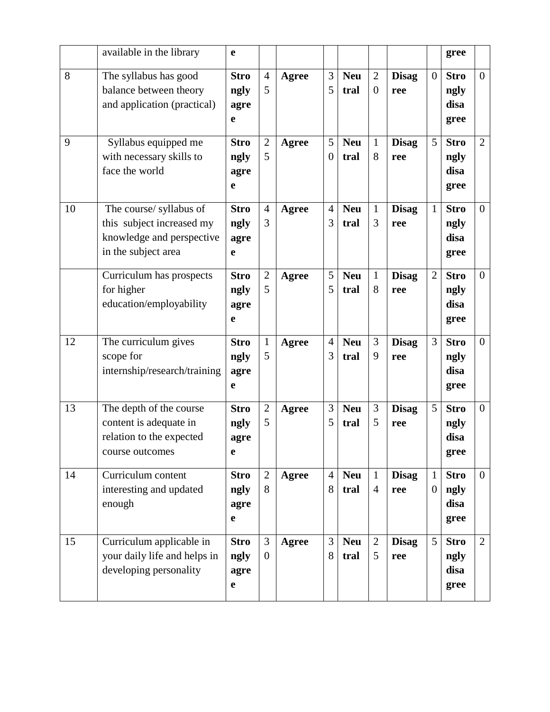|    | available in the library                                                                                 | $\mathbf e$                                |                     |              |                     |                    |                                |                     |                                | gree                                |                |
|----|----------------------------------------------------------------------------------------------------------|--------------------------------------------|---------------------|--------------|---------------------|--------------------|--------------------------------|---------------------|--------------------------------|-------------------------------------|----------------|
| 8  | The syllabus has good<br>balance between theory<br>and application (practical)                           | <b>Stro</b><br>ngly<br>agre<br>$\mathbf e$ | $\overline{4}$<br>5 | Agree        | 3<br>5              | <b>Neu</b><br>tral | $\overline{2}$<br>$\theta$     | <b>Disag</b><br>ree | $\overline{0}$                 | <b>Stro</b><br>ngly<br>disa<br>gree | $\overline{0}$ |
| 9  | Syllabus equipped me<br>with necessary skills to<br>face the world                                       | <b>Stro</b><br>ngly<br>agre<br>$\mathbf e$ | $\overline{2}$<br>5 | <b>Agree</b> | 5<br>$\overline{0}$ | <b>Neu</b><br>tral | $\mathbf{1}$<br>8              | <b>Disag</b><br>ree | 5                              | <b>Stro</b><br>ngly<br>disa<br>gree | $\overline{2}$ |
| 10 | The course/ syllabus of<br>this subject increased my<br>knowledge and perspective<br>in the subject area | <b>Stro</b><br>ngly<br>agre<br>e           | $\overline{4}$<br>3 | Agree        | $\overline{4}$<br>3 | <b>Neu</b><br>tral | $\mathbf{1}$<br>3              | <b>Disag</b><br>ree | $\mathbf{1}$                   | <b>Stro</b><br>ngly<br>disa<br>gree | $\overline{0}$ |
|    | Curriculum has prospects<br>for higher<br>education/employability                                        | <b>Stro</b><br>ngly<br>agre<br>e           | $\mathfrak{2}$<br>5 | <b>Agree</b> | 5<br>5              | <b>Neu</b><br>tral | $\mathbf{1}$<br>8              | <b>Disag</b><br>ree | $\mathfrak{2}$                 | <b>Stro</b><br>ngly<br>disa<br>gree | $\overline{0}$ |
| 12 | The curriculum gives<br>scope for<br>internship/research/training                                        | <b>Stro</b><br>ngly<br>agre<br>e           | $\mathbf{1}$<br>5   | <b>Agree</b> | $\overline{4}$<br>3 | <b>Neu</b><br>tral | 3<br>9                         | <b>Disag</b><br>ree | 3                              | <b>Stro</b><br>ngly<br>disa<br>gree | $\overline{0}$ |
| 13 | The depth of the course<br>content is adequate in<br>relation to the expected<br>course outcomes         | <b>Stro</b><br>ngly<br>agre<br>$\mathbf e$ | $\overline{2}$<br>5 | Agree        | 3<br>5              | <b>Neu</b><br>tral | 3<br>5                         | <b>Disag</b><br>ree | 5                              | <b>Stro</b><br>ngly<br>disa<br>gree | $\overline{0}$ |
| 14 | Curriculum content<br>interesting and updated<br>enough                                                  | <b>Stro</b><br>ngly<br>agre<br>$\mathbf e$ | $\overline{2}$<br>8 | Agree        | $\overline{4}$<br>8 | <b>Neu</b><br>tral | $\mathbf{1}$<br>$\overline{4}$ | <b>Disag</b><br>ree | $\mathbf{1}$<br>$\overline{0}$ | <b>Stro</b><br>ngly<br>disa<br>gree | $\overline{0}$ |
| 15 | Curriculum applicable in<br>your daily life and helps in<br>developing personality                       | <b>Stro</b><br>ngly<br>agre<br>$\mathbf e$ | 3<br>$\overline{0}$ | Agree        | 3<br>8              | <b>Neu</b><br>tral | $\overline{2}$<br>5            | <b>Disag</b><br>ree | 5                              | <b>Stro</b><br>ngly<br>disa<br>gree | $\overline{2}$ |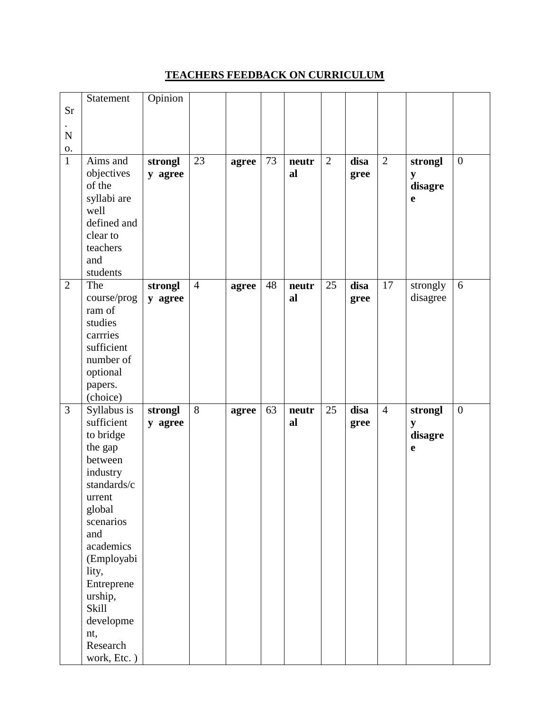#### **TEACHERS FEEDBACK ON CURRICULUM**

|                | Statement        | Opinion |                |       |    |       |    |      |                 |          |                  |
|----------------|------------------|---------|----------------|-------|----|-------|----|------|-----------------|----------|------------------|
| <b>Sr</b>      |                  |         |                |       |    |       |    |      |                 |          |                  |
|                |                  |         |                |       |    |       |    |      |                 |          |                  |
| $\mathbf N$    |                  |         |                |       |    |       |    |      |                 |          |                  |
| 0.             |                  |         |                |       |    |       |    |      |                 |          |                  |
| $\mathbf{1}$   | Aims and         | strongl | 23             | agree | 73 | neutr | 2  | disa | $\overline{2}$  | strongl  | $\boldsymbol{0}$ |
|                | objectives       | y agree |                |       |    | al    |    | gree |                 | y        |                  |
|                | of the           |         |                |       |    |       |    |      |                 | disagre  |                  |
|                | syllabi are      |         |                |       |    |       |    |      |                 | e        |                  |
|                | well             |         |                |       |    |       |    |      |                 |          |                  |
|                | defined and      |         |                |       |    |       |    |      |                 |          |                  |
|                | clear to         |         |                |       |    |       |    |      |                 |          |                  |
|                | teachers         |         |                |       |    |       |    |      |                 |          |                  |
|                | and              |         |                |       |    |       |    |      |                 |          |                  |
|                | students         |         |                |       |    |       |    |      |                 |          |                  |
| $\overline{2}$ | The              | strongl | $\overline{4}$ | agree | 48 | neutr | 25 | disa | $\overline{17}$ | strongly | 6                |
|                | course/prog      | y agree |                |       |    | al    |    | gree |                 | disagree |                  |
|                | ram of           |         |                |       |    |       |    |      |                 |          |                  |
|                | studies          |         |                |       |    |       |    |      |                 |          |                  |
|                | carrries         |         |                |       |    |       |    |      |                 |          |                  |
|                | sufficient       |         |                |       |    |       |    |      |                 |          |                  |
|                | number of        |         |                |       |    |       |    |      |                 |          |                  |
|                | optional         |         |                |       |    |       |    |      |                 |          |                  |
|                |                  |         |                |       |    |       |    |      |                 |          |                  |
|                | papers.          |         |                |       |    |       |    |      |                 |          |                  |
|                | (choice)         |         |                |       |    |       |    |      |                 |          |                  |
| $\mathfrak{Z}$ | Syllabus is      | strongl | 8              | agree | 63 | neutr | 25 | disa | $\overline{4}$  | strongl  | $\boldsymbol{0}$ |
|                | sufficient       | y agree |                |       |    | al    |    | gree |                 | y        |                  |
|                | to bridge        |         |                |       |    |       |    |      |                 | disagre  |                  |
|                | the gap          |         |                |       |    |       |    |      |                 | e        |                  |
|                | between          |         |                |       |    |       |    |      |                 |          |                  |
|                | industry         |         |                |       |    |       |    |      |                 |          |                  |
|                | standards/c      |         |                |       |    |       |    |      |                 |          |                  |
|                | urrent           |         |                |       |    |       |    |      |                 |          |                  |
|                | global           |         |                |       |    |       |    |      |                 |          |                  |
|                | scenarios        |         |                |       |    |       |    |      |                 |          |                  |
|                | and              |         |                |       |    |       |    |      |                 |          |                  |
|                | academics        |         |                |       |    |       |    |      |                 |          |                  |
|                | (Employabi       |         |                |       |    |       |    |      |                 |          |                  |
|                | lity,            |         |                |       |    |       |    |      |                 |          |                  |
|                | Entreprene       |         |                |       |    |       |    |      |                 |          |                  |
|                | urship,<br>Skill |         |                |       |    |       |    |      |                 |          |                  |
|                | developme        |         |                |       |    |       |    |      |                 |          |                  |
|                | nt,              |         |                |       |    |       |    |      |                 |          |                  |
|                | Research         |         |                |       |    |       |    |      |                 |          |                  |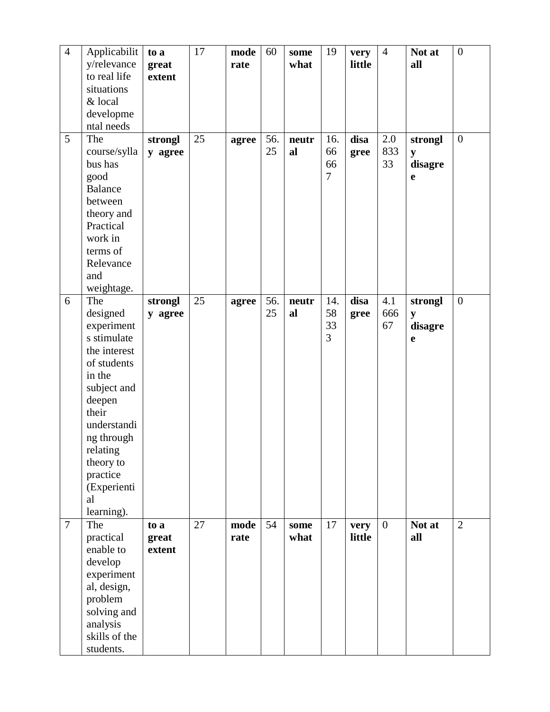| $\overline{4}$ | Applicabilit                | to a    | 17 | mode  | 60  | some  | 19             | very   | $\overline{4}$ | Not at    | $\boldsymbol{0}$ |
|----------------|-----------------------------|---------|----|-------|-----|-------|----------------|--------|----------------|-----------|------------------|
|                | y/relevance                 | great   |    | rate  |     | what  |                | little |                | all       |                  |
|                | to real life                | extent  |    |       |     |       |                |        |                |           |                  |
|                | situations                  |         |    |       |     |       |                |        |                |           |                  |
|                | & local                     |         |    |       |     |       |                |        |                |           |                  |
|                | developme                   |         |    |       |     |       |                |        |                |           |                  |
|                | ntal needs                  |         |    |       |     |       |                |        |                |           |                  |
| 5              | The                         | strongl | 25 | agree | 56. | neutr | 16.            | disa   | 2.0            | strongl   | $\overline{0}$   |
|                | course/sylla                | y agree |    |       | 25  | al    | 66             | gree   | 833            | ${\bf y}$ |                  |
|                | bus has                     |         |    |       |     |       | 66             |        | 33             | disagre   |                  |
|                | good                        |         |    |       |     |       | $\overline{7}$ |        |                | e         |                  |
|                | <b>Balance</b>              |         |    |       |     |       |                |        |                |           |                  |
|                | between                     |         |    |       |     |       |                |        |                |           |                  |
|                | theory and                  |         |    |       |     |       |                |        |                |           |                  |
|                | Practical                   |         |    |       |     |       |                |        |                |           |                  |
|                | work in                     |         |    |       |     |       |                |        |                |           |                  |
|                | terms of                    |         |    |       |     |       |                |        |                |           |                  |
|                | Relevance                   |         |    |       |     |       |                |        |                |           |                  |
|                | and                         |         |    |       |     |       |                |        |                |           |                  |
|                | weightage.                  |         |    |       |     |       |                |        |                |           |                  |
| 6              | The                         | strongl | 25 | agree | 56. | neutr | 14.            | disa   | 4.1            | strongl   | $\boldsymbol{0}$ |
|                | designed                    | y agree |    |       | 25  | al    | 58             | gree   | 666            | y         |                  |
|                | experiment                  |         |    |       |     |       | 33             |        | 67             | disagre   |                  |
|                | s stimulate<br>the interest |         |    |       |     |       | 3              |        |                | e         |                  |
|                | of students                 |         |    |       |     |       |                |        |                |           |                  |
|                | in the                      |         |    |       |     |       |                |        |                |           |                  |
|                | subject and                 |         |    |       |     |       |                |        |                |           |                  |
|                | deepen                      |         |    |       |     |       |                |        |                |           |                  |
|                | their                       |         |    |       |     |       |                |        |                |           |                  |
|                | understandi                 |         |    |       |     |       |                |        |                |           |                  |
|                | ng through                  |         |    |       |     |       |                |        |                |           |                  |
|                | relating                    |         |    |       |     |       |                |        |                |           |                  |
|                | theory to                   |         |    |       |     |       |                |        |                |           |                  |
|                | practice                    |         |    |       |     |       |                |        |                |           |                  |
|                | (Experienti                 |         |    |       |     |       |                |        |                |           |                  |
|                | al                          |         |    |       |     |       |                |        |                |           |                  |
|                | learning).                  |         |    |       |     |       |                |        |                |           |                  |
| $\overline{7}$ | The                         | to a    | 27 | mode  | 54  | some  | 17             | very   | $\overline{0}$ | Not at    | $\overline{2}$   |
|                | practical                   | great   |    | rate  |     | what  |                | little |                | all       |                  |
|                | enable to                   | extent  |    |       |     |       |                |        |                |           |                  |
|                | develop                     |         |    |       |     |       |                |        |                |           |                  |
|                | experiment                  |         |    |       |     |       |                |        |                |           |                  |
|                | al, design,                 |         |    |       |     |       |                |        |                |           |                  |
|                | problem                     |         |    |       |     |       |                |        |                |           |                  |
|                | solving and                 |         |    |       |     |       |                |        |                |           |                  |
|                | analysis                    |         |    |       |     |       |                |        |                |           |                  |
|                | skills of the               |         |    |       |     |       |                |        |                |           |                  |
|                | students.                   |         |    |       |     |       |                |        |                |           |                  |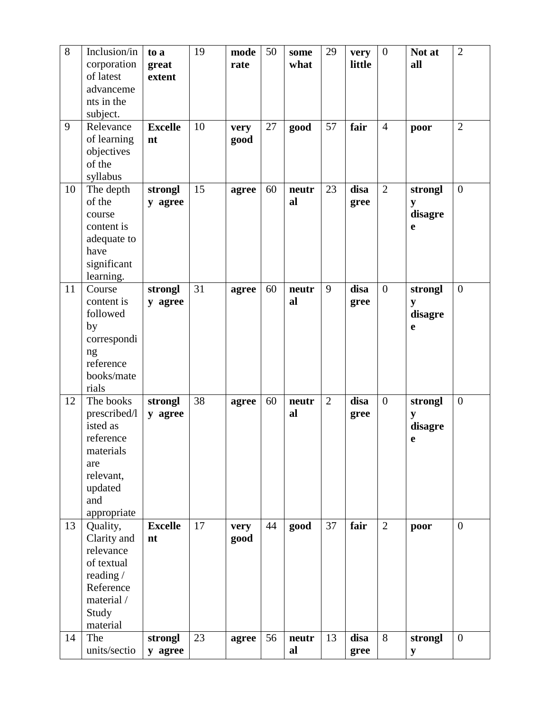| 8  | Inclusion/in             | to a           | 19 | mode  | 50 | some  | 29             | very   | $\overline{0}$ | Not at  | $\overline{2}$   |
|----|--------------------------|----------------|----|-------|----|-------|----------------|--------|----------------|---------|------------------|
|    | corporation              | great          |    | rate  |    | what  |                | little |                | all     |                  |
|    | of latest                | extent         |    |       |    |       |                |        |                |         |                  |
|    | advanceme                |                |    |       |    |       |                |        |                |         |                  |
|    | nts in the               |                |    |       |    |       |                |        |                |         |                  |
|    | subject.                 |                |    |       |    |       |                |        |                |         |                  |
| 9  | Relevance                | <b>Excelle</b> | 10 | very  | 27 | good  | 57             | fair   | $\overline{4}$ | poor    | $\overline{2}$   |
|    | of learning              | nt             |    | good  |    |       |                |        |                |         |                  |
|    | objectives               |                |    |       |    |       |                |        |                |         |                  |
|    | of the                   |                |    |       |    |       |                |        |                |         |                  |
|    | syllabus                 |                |    |       |    |       |                |        |                |         |                  |
| 10 | The depth                | strongl        | 15 | agree | 60 | neutr | 23             | disa   | $\overline{2}$ | strongl | $\overline{0}$   |
|    | of the                   | y agree        |    |       |    | al    |                | gree   |                | y       |                  |
|    | course                   |                |    |       |    |       |                |        |                | disagre |                  |
|    | content is               |                |    |       |    |       |                |        |                | e       |                  |
|    | adequate to<br>have      |                |    |       |    |       |                |        |                |         |                  |
|    | significant              |                |    |       |    |       |                |        |                |         |                  |
|    | learning.                |                |    |       |    |       |                |        |                |         |                  |
| 11 | Course                   | strongl        | 31 | agree | 60 | neutr | 9              | disa   | $\overline{0}$ | strongl | $\boldsymbol{0}$ |
|    | content is               | y agree        |    |       |    | al    |                | gree   |                | y       |                  |
|    | followed                 |                |    |       |    |       |                |        |                | disagre |                  |
|    | by                       |                |    |       |    |       |                |        |                | e       |                  |
|    | correspondi              |                |    |       |    |       |                |        |                |         |                  |
|    | ng                       |                |    |       |    |       |                |        |                |         |                  |
|    | reference                |                |    |       |    |       |                |        |                |         |                  |
|    | books/mate               |                |    |       |    |       |                |        |                |         |                  |
|    | rials                    |                |    |       |    |       |                |        |                |         |                  |
| 12 | The books                | strongl        | 38 | agree | 60 | neutr | $\overline{2}$ | disa   | $\overline{0}$ | strongl | $\boldsymbol{0}$ |
|    | prescribed/l             | y agree        |    |       |    | al    |                | gree   |                | y       |                  |
|    | isted as                 |                |    |       |    |       |                |        |                | disagre |                  |
|    | reference                |                |    |       |    |       |                |        |                | e       |                  |
|    | materials                |                |    |       |    |       |                |        |                |         |                  |
|    | are                      |                |    |       |    |       |                |        |                |         |                  |
|    | relevant,                |                |    |       |    |       |                |        |                |         |                  |
|    | updated                  |                |    |       |    |       |                |        |                |         |                  |
|    | and                      |                |    |       |    |       |                |        |                |         |                  |
|    | appropriate              |                |    |       |    |       |                |        |                |         |                  |
| 13 | Quality,                 | <b>Excelle</b> | 17 | very  | 44 | good  | 37             | fair   | $\overline{2}$ | poor    | $\boldsymbol{0}$ |
|    | Clarity and<br>relevance | nt             |    | good  |    |       |                |        |                |         |                  |
|    | of textual               |                |    |       |    |       |                |        |                |         |                  |
|    |                          |                |    |       |    |       |                |        |                |         |                  |
|    |                          |                |    |       |    |       |                |        |                |         |                  |
|    | reading /                |                |    |       |    |       |                |        |                |         |                  |
|    | Reference                |                |    |       |    |       |                |        |                |         |                  |
|    | material /               |                |    |       |    |       |                |        |                |         |                  |
|    | Study                    |                |    |       |    |       |                |        |                |         |                  |
| 14 | material<br>The          | strongl        | 23 | agree | 56 | neutr | 13             | disa   | 8              | strongl | $\boldsymbol{0}$ |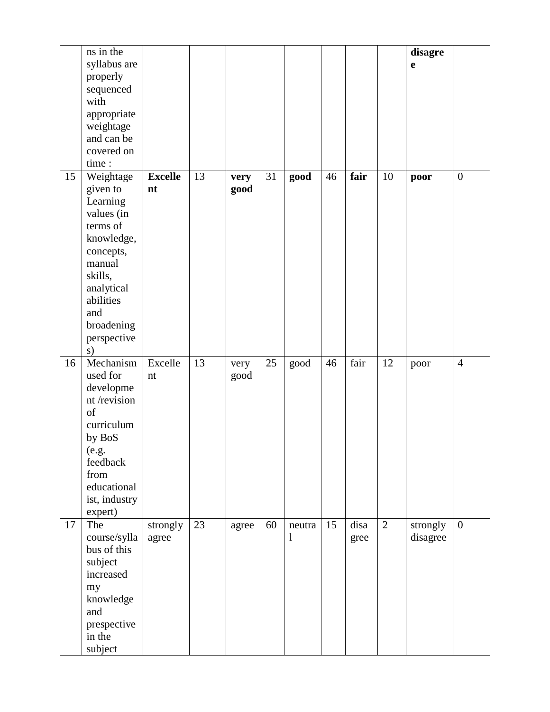|    | ns in the<br>syllabus are<br>properly<br>sequenced<br>with<br>appropriate<br>weightage<br>and can be<br>covered on<br>time:                                                      |                      |    |              |    |                        |    |              |                | disagre<br>$\mathbf e$ |                  |
|----|----------------------------------------------------------------------------------------------------------------------------------------------------------------------------------|----------------------|----|--------------|----|------------------------|----|--------------|----------------|------------------------|------------------|
| 15 | Weightage<br>given to<br>Learning<br>values (in<br>terms of<br>knowledge,<br>concepts,<br>manual<br>skills,<br>analytical<br>abilities<br>and<br>broadening<br>perspective<br>s) | <b>Excelle</b><br>nt | 13 | very<br>good | 31 | good                   | 46 | fair         | 10             | poor                   | $\boldsymbol{0}$ |
| 16 | Mechanism<br>used for<br>developme<br>nt/revision<br>of<br>curriculum<br>by BoS<br>(e.g.<br>feedback<br>from<br>educational<br>ist, industry<br>expert)                          | Excelle<br>nt        | 13 | very<br>good | 25 | good                   | 46 | fair         | 12             | poor                   | $\overline{4}$   |
| 17 | The<br>course/sylla<br>bus of this<br>subject<br>increased<br>my<br>knowledge<br>and<br>prespective<br>in the<br>subject                                                         | strongly<br>agree    | 23 | agree        | 60 | neutra<br>$\mathbf{l}$ | 15 | disa<br>gree | $\overline{2}$ | strongly<br>disagree   | $\boldsymbol{0}$ |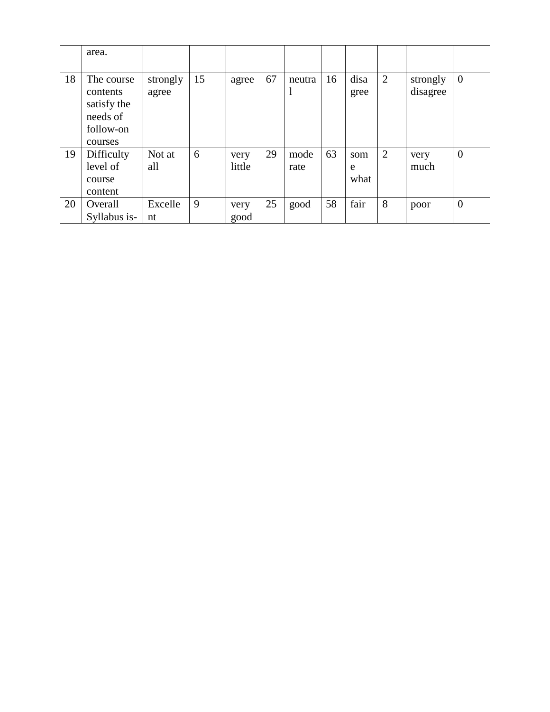|    | area.                                                                     |                   |    |                |    |              |    |                  |                |                      |                |
|----|---------------------------------------------------------------------------|-------------------|----|----------------|----|--------------|----|------------------|----------------|----------------------|----------------|
| 18 | The course<br>contents<br>satisfy the<br>needs of<br>follow-on<br>courses | strongly<br>agree | 15 | agree          | 67 | neutra       | 16 | disa<br>gree     | 2              | strongly<br>disagree | $\overline{0}$ |
| 19 | Difficulty<br>level of<br>course<br>content                               | Not at<br>all     | 6  | very<br>little | 29 | mode<br>rate | 63 | som<br>e<br>what | $\overline{2}$ | very<br>much         | $\overline{0}$ |
| 20 | Overall<br>Syllabus is-                                                   | Excelle<br>nt     | 9  | very<br>good   | 25 | good         | 58 | fair             | 8              | poor                 | $\overline{0}$ |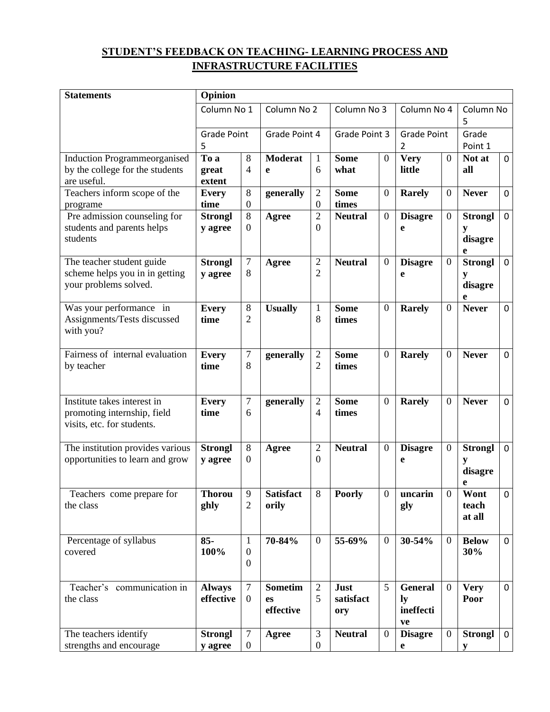#### **STUDENT'S FEEDBACK ON TEACHING- LEARNING PROCESS AND INFRASTRUCTURE FACILITIES**

| <b>Statements</b>                                                                        | Opinion                    |                               |                                   |                                    |                          |                  |                                         |                  |                                     |                |
|------------------------------------------------------------------------------------------|----------------------------|-------------------------------|-----------------------------------|------------------------------------|--------------------------|------------------|-----------------------------------------|------------------|-------------------------------------|----------------|
|                                                                                          | Column No 1                |                               | Column No 2                       |                                    | Column No 3              |                  | Column No 4                             |                  | Column No<br>5                      |                |
|                                                                                          | <b>Grade Point</b><br>5    |                               | Grade Point 4                     |                                    | Grade Point 3            |                  | <b>Grade Point</b><br>2                 |                  | Grade<br>Point 1                    |                |
| <b>Induction Programmeorganised</b><br>by the college for the students<br>are useful.    | To a<br>great<br>extent    | 8<br>$\overline{4}$           | <b>Moderat</b><br>e               | $\mathbf{1}$<br>6                  | <b>Some</b><br>what      | $\overline{0}$   | <b>Very</b><br>little                   | $\overline{0}$   | Not at<br>all                       | $\mathbf 0$    |
| Teachers inform scope of the<br>programe                                                 | <b>Every</b><br>time       | 8<br>$\overline{0}$           | generally                         | $\mathfrak{2}$<br>$\boldsymbol{0}$ | <b>Some</b><br>times     | $\mathbf{0}$     | <b>Rarely</b>                           | $\boldsymbol{0}$ | <b>Never</b>                        | $\mathbf 0$    |
| Pre admission counseling for<br>students and parents helps<br>students                   | <b>Strongl</b><br>y agree  | $8\,$<br>$\mathbf{0}$         | Agree                             | $\overline{2}$<br>$\overline{0}$   | <b>Neutral</b>           | $\mathbf{0}$     | <b>Disagre</b><br>e                     | $\boldsymbol{0}$ | <b>Strongl</b><br>y<br>disagre<br>e | $\mathbf 0$    |
| The teacher student guide<br>scheme helps you in in getting<br>your problems solved.     | <b>Strongl</b><br>y agree  | 7<br>8                        | Agree                             | $\overline{2}$<br>$\overline{2}$   | <b>Neutral</b>           | $\boldsymbol{0}$ | <b>Disagre</b><br>e                     | $\boldsymbol{0}$ | <b>Strongl</b><br>y<br>disagre<br>e | $\mathbf 0$    |
| Was your performance in<br>Assignments/Tests discussed<br>with you?                      | <b>Every</b><br>time       | $\,8\,$<br>$\overline{2}$     | <b>Usually</b>                    | $\mathbf{1}$<br>8                  | <b>Some</b><br>times     | $\mathbf{0}$     | <b>Rarely</b>                           | $\boldsymbol{0}$ | <b>Never</b>                        | $\mathbf 0$    |
| Fairness of internal evaluation<br>by teacher                                            | <b>Every</b><br>time       | $\tau$<br>8                   | generally                         | $\overline{2}$<br>$\overline{2}$   | <b>Some</b><br>times     | $\overline{0}$   | <b>Rarely</b>                           | $\mathbf{0}$     | <b>Never</b>                        | $\mathbf 0$    |
| Institute takes interest in<br>promoting internship, field<br>visits, etc. for students. | <b>Every</b><br>time       | 7<br>6                        | generally                         | $\mathfrak{2}$<br>$\overline{4}$   | <b>Some</b><br>times     | $\overline{0}$   | <b>Rarely</b>                           | $\boldsymbol{0}$ | <b>Never</b>                        | $\mathbf 0$    |
| The institution provides various<br>opportunities to learn and grow                      | <b>Strongl</b><br>y agree  | 8<br>$\mathbf{0}$             | Agree                             | $\sqrt{2}$<br>$\mathbf{0}$         | <b>Neutral</b>           | $\mathbf{0}$     | <b>Disagre</b><br>e                     | $\boldsymbol{0}$ | <b>Strongl</b><br>y<br>disagre<br>e | $\mathbf 0$    |
| Teachers come prepare for<br>the class                                                   | <b>Thorou</b><br>ghly      | 9<br>$\overline{2}$           | <b>Satisfact</b><br>orily         | 8                                  | <b>Poorly</b>            | $\boldsymbol{0}$ | uncarin<br>gly                          | $\boldsymbol{0}$ | Wont<br>teach<br>at all             | $\overline{0}$ |
| Percentage of syllabus<br>covered                                                        | $85 -$<br>100%             | 1<br>$\mathbf{0}$<br>$\theta$ | 70-84%                            | $\mathbf{0}$                       | 55-69%                   | $\overline{0}$   | 30-54%                                  | $\boldsymbol{0}$ | <b>Below</b><br>30%                 | $\mathbf 0$    |
| Teacher's communication in<br>the class                                                  | <b>Always</b><br>effective | $\tau$<br>$\boldsymbol{0}$    | <b>Sometim</b><br>es<br>effective | $\sqrt{2}$<br>5                    | Just<br>satisfact<br>ory | 5                | <b>General</b><br>ly<br>ineffecti<br>ve | $\mathbf{0}$     | <b>Very</b><br>Poor                 | $\mathbf 0$    |
| The teachers identify<br>strengths and encourage                                         | <b>Strongl</b><br>y agree  | $\tau$<br>$\mathbf{0}$        | <b>Agree</b>                      | 3<br>$\overline{0}$                | <b>Neutral</b>           | $\boldsymbol{0}$ | <b>Disagre</b><br>e                     | $\boldsymbol{0}$ | <b>Strongl</b><br>V                 | $\mathbf 0$    |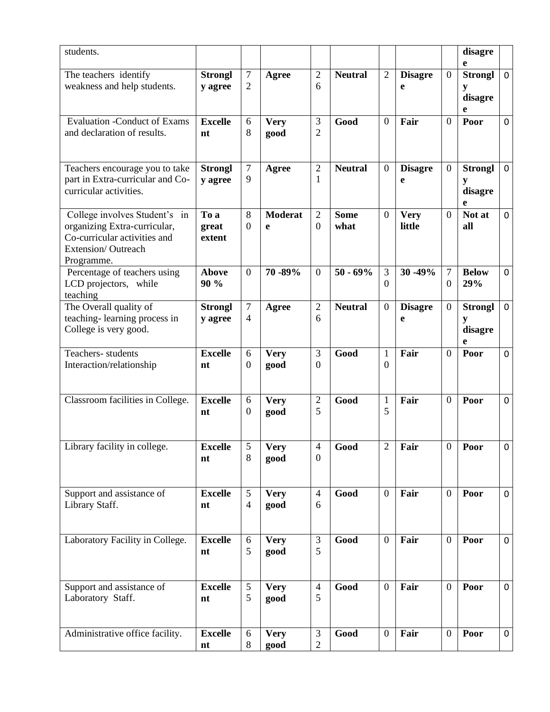| students.                                                                                                                         |                           |                          |                     |                                  |                     |                                |                       |                                      | disagre<br>e                        |                |
|-----------------------------------------------------------------------------------------------------------------------------------|---------------------------|--------------------------|---------------------|----------------------------------|---------------------|--------------------------------|-----------------------|--------------------------------------|-------------------------------------|----------------|
| The teachers identify<br>weakness and help students.                                                                              | <b>Strongl</b><br>y agree | $\tau$<br>$\overline{c}$ | Agree               | $\overline{2}$<br>6              | <b>Neutral</b>      | $\overline{2}$                 | <b>Disagre</b><br>e   | $\boldsymbol{0}$                     | <b>Strongl</b><br>y<br>disagre<br>e | $\mathbf 0$    |
| <b>Evaluation -Conduct of Exams</b><br>and declaration of results.                                                                | <b>Excelle</b><br>nt      | 6<br>8                   | <b>Very</b><br>good | 3<br>$\overline{c}$              | Good                | $\overline{0}$                 | Fair                  | $\overline{0}$                       | Poor                                | $\mathbf 0$    |
| Teachers encourage you to take<br>part in Extra-curricular and Co-<br>curricular activities.                                      | <b>Strongl</b><br>y agree | 7<br>9                   | Agree               | $\mathbf{2}$<br>1                | <b>Neutral</b>      | $\boldsymbol{0}$               | <b>Disagre</b><br>e   | $\boldsymbol{0}$                     | <b>Strongl</b><br>y<br>disagre<br>e | $\mathbf 0$    |
| College involves Student's in<br>organizing Extra-curricular,<br>Co-curricular activities and<br>Extension/Outreach<br>Programme. | To a<br>great<br>extent   | 8<br>$\boldsymbol{0}$    | Moderat<br>e        | $\overline{2}$<br>$\overline{0}$ | <b>Some</b><br>what | $\mathbf{0}$                   | <b>Very</b><br>little | $\boldsymbol{0}$                     | Not at<br>all                       | $\mathbf 0$    |
| Percentage of teachers using<br>LCD projectors, while<br>teaching                                                                 | <b>Above</b><br>90 %      | $\overline{0}$           | 70 - 89%            | $\mathbf{0}$                     | $50 - 69%$          | 3<br>$\overline{0}$            | 30 - 49%              | $\boldsymbol{7}$<br>$\boldsymbol{0}$ | <b>Below</b><br>29%                 | $\mathbf 0$    |
| The Overall quality of<br>teaching-learning process in<br>College is very good.                                                   | <b>Strongl</b><br>y agree | $\tau$<br>$\overline{4}$ | Agree               | $\overline{2}$<br>6              | <b>Neutral</b>      | $\boldsymbol{0}$               | <b>Disagre</b><br>e   | $\boldsymbol{0}$                     | <b>Strongl</b><br>y<br>disagre<br>e | $\mathbf 0$    |
| Teachers-students<br>Interaction/relationship                                                                                     | <b>Excelle</b><br>nt      | 6<br>$\overline{0}$      | <b>Very</b><br>good | 3<br>$\overline{0}$              | Good                | $\mathbf{1}$<br>$\overline{0}$ | Fair                  | $\mathbf{0}$                         | Poor                                | $\mathbf 0$    |
| Classroom facilities in College.                                                                                                  | <b>Excelle</b><br>nt      | 6<br>$\boldsymbol{0}$    | <b>Very</b><br>good | $\overline{2}$<br>5              | Good                | $\mathbf{1}$<br>5              | Fair                  | $\mathbf{0}$                         | Poor                                | $\mathbf 0$    |
| Library facility in college.                                                                                                      | <b>Excelle</b><br>nt      | 5<br>8                   | <b>Very</b><br>good | $\overline{4}$<br>$\mathbf{0}$   | Good                | $\overline{2}$                 | Fair                  | $\overline{0}$                       | Poor                                | $\Omega$       |
| Support and assistance of<br>Library Staff.                                                                                       | <b>Excelle</b><br>nt      | 5<br>$\overline{4}$      | <b>Very</b><br>good | $\overline{4}$<br>6              | Good                | $\overline{0}$                 | Fair                  | $\boldsymbol{0}$                     | Poor                                | $\mathbf 0$    |
| Laboratory Facility in College.                                                                                                   | <b>Excelle</b><br>nt      | 6<br>5                   | <b>Very</b><br>good | $\mathfrak{Z}$<br>5              | Good                | $\overline{0}$                 | Fair                  | $\overline{0}$                       | Poor                                | $\overline{0}$ |
| Support and assistance of<br>Laboratory Staff.                                                                                    | <b>Excelle</b><br>nt      | 5<br>5                   | <b>Very</b><br>good | $\overline{4}$<br>5              | Good                | $\overline{0}$                 | Fair                  | $\boldsymbol{0}$                     | Poor                                | $\mathbf 0$    |
| Administrative office facility.                                                                                                   | <b>Excelle</b><br>nt      | 6<br>$8\,$               | <b>Very</b><br>good | $\mathfrak{Z}$<br>$\overline{c}$ | Good                | $\boldsymbol{0}$               | Fair                  | $\boldsymbol{0}$                     | Poor                                | $\mathbf 0$    |